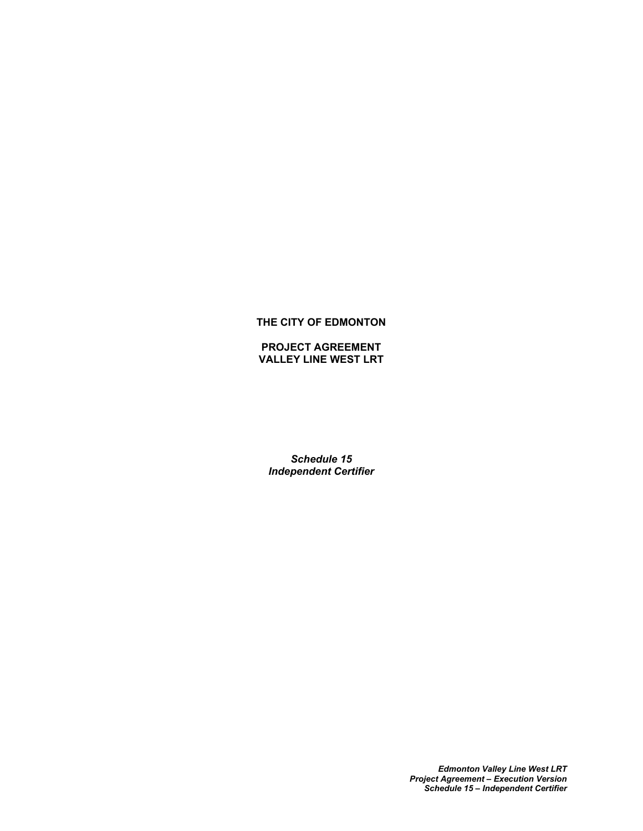# **THE CITY OF EDMONTON**

**PROJECT AGREEMENT VALLEY LINE WEST LRT**

*Schedule 15 Independent Certifier*

> *Edmonton Valley Line West LRT Project Agreement – Execution Version Schedule 15 – Independent Certifier*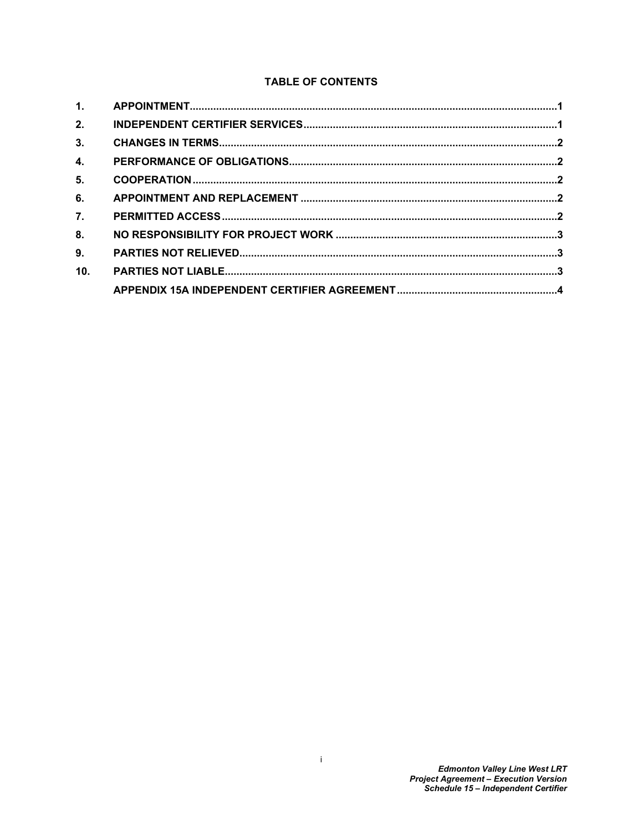# **TABLE OF CONTENTS**

| 2.               |  |
|------------------|--|
| 3.               |  |
| 4.               |  |
| 5.               |  |
| 6.               |  |
| $\overline{7}$ . |  |
| 8.               |  |
| 9.               |  |
| 10.              |  |
|                  |  |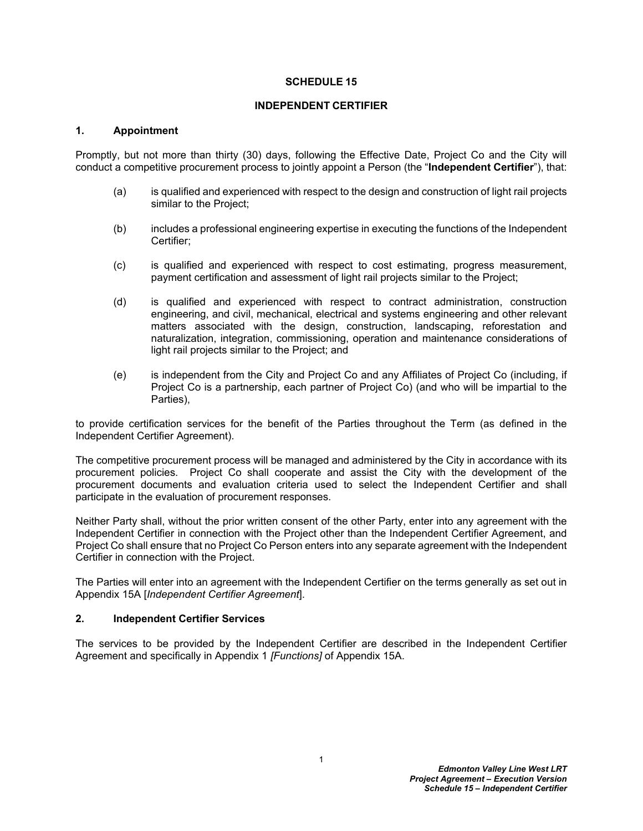#### **SCHEDULE 15**

#### **INDEPENDENT CERTIFIER**

#### <span id="page-2-0"></span>**1. Appointment**

Promptly, but not more than thirty (30) days, following the Effective Date, Project Co and the City will conduct a competitive procurement process to jointly appoint a Person (the "**Independent Certifier**"), that:

- (a) is qualified and experienced with respect to the design and construction of light rail projects similar to the Project;
- (b) includes a professional engineering expertise in executing the functions of the Independent Certifier;
- (c) is qualified and experienced with respect to cost estimating, progress measurement, payment certification and assessment of light rail projects similar to the Project;
- (d) is qualified and experienced with respect to contract administration, construction engineering, and civil, mechanical, electrical and systems engineering and other relevant matters associated with the design, construction, landscaping, reforestation and naturalization, integration, commissioning, operation and maintenance considerations of light rail projects similar to the Project; and
- (e) is independent from the City and Project Co and any Affiliates of Project Co (including, if Project Co is a partnership, each partner of Project Co) (and who will be impartial to the Parties),

to provide certification services for the benefit of the Parties throughout the Term (as defined in the Independent Certifier Agreement).

The competitive procurement process will be managed and administered by the City in accordance with its procurement policies. Project Co shall cooperate and assist the City with the development of the procurement documents and evaluation criteria used to select the Independent Certifier and shall participate in the evaluation of procurement responses.

Neither Party shall, without the prior written consent of the other Party, enter into any agreement with the Independent Certifier in connection with the Project other than the Independent Certifier Agreement, and Project Co shall ensure that no Project Co Person enters into any separate agreement with the Independent Certifier in connection with the Project.

The Parties will enter into an agreement with the Independent Certifier on the terms generally as set out in Appendix 15A [*Independent Certifier Agreement*].

### <span id="page-2-1"></span>**2. Independent Certifier Services**

The services to be provided by the Independent Certifier are described in the Independent Certifier Agreement and specifically in [Appendix 1](#page-26-0) *[Functions]* of Appendix 15A.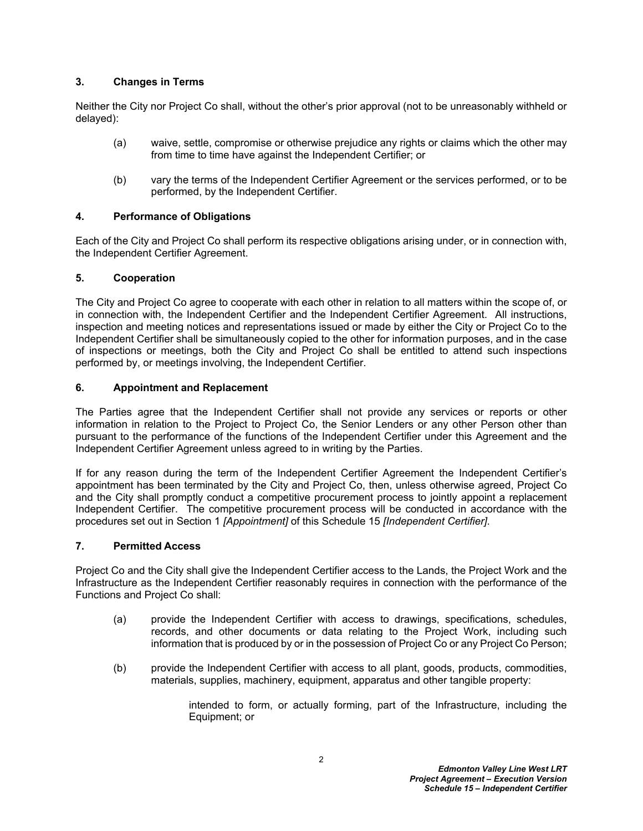## <span id="page-3-0"></span>**3. Changes in Terms**

Neither the City nor Project Co shall, without the other's prior approval (not to be unreasonably withheld or delayed):

- (a) waive, settle, compromise or otherwise prejudice any rights or claims which the other may from time to time have against the Independent Certifier; or
- (b) vary the terms of the Independent Certifier Agreement or the services performed, or to be performed, by the Independent Certifier.

## <span id="page-3-1"></span>**4. Performance of Obligations**

Each of the City and Project Co shall perform its respective obligations arising under, or in connection with, the Independent Certifier Agreement.

## <span id="page-3-2"></span>**5. Cooperation**

The City and Project Co agree to cooperate with each other in relation to all matters within the scope of, or in connection with, the Independent Certifier and the Independent Certifier Agreement. All instructions, inspection and meeting notices and representations issued or made by either the City or Project Co to the Independent Certifier shall be simultaneously copied to the other for information purposes, and in the case of inspections or meetings, both the City and Project Co shall be entitled to attend such inspections performed by, or meetings involving, the Independent Certifier.

## <span id="page-3-3"></span>**6. Appointment and Replacement**

The Parties agree that the Independent Certifier shall not provide any services or reports or other information in relation to the Project to Project Co, the Senior Lenders or any other Person other than pursuant to the performance of the functions of the Independent Certifier under this Agreement and the Independent Certifier Agreement unless agreed to in writing by the Parties.

If for any reason during the term of the Independent Certifier Agreement the Independent Certifier's appointment has been terminated by the City and Project Co, then, unless otherwise agreed, Project Co and the City shall promptly conduct a competitive procurement process to jointly appoint a replacement Independent Certifier. The competitive procurement process will be conducted in accordance with the procedures set out in Section 1 *[Appointment]* of this Schedule 15 *[Independent Certifier]*.

### <span id="page-3-4"></span>**7. Permitted Access**

Project Co and the City shall give the Independent Certifier access to the Lands, the Project Work and the Infrastructure as the Independent Certifier reasonably requires in connection with the performance of the Functions and Project Co shall:

- (a) provide the Independent Certifier with access to drawings, specifications, schedules, records, and other documents or data relating to the Project Work, including such information that is produced by or in the possession of Project Co or any Project Co Person;
- (b) provide the Independent Certifier with access to all plant, goods, products, commodities, materials, supplies, machinery, equipment, apparatus and other tangible property:

intended to form, or actually forming, part of the Infrastructure, including the Equipment; or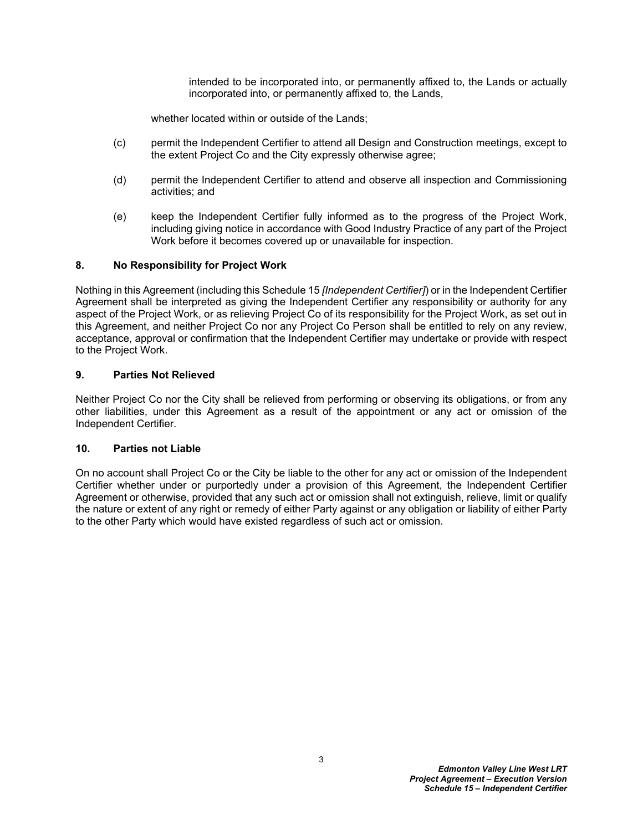intended to be incorporated into, or permanently affixed to, the Lands or actually incorporated into, or permanently affixed to, the Lands,

whether located within or outside of the Lands;

- (c) permit the Independent Certifier to attend all Design and Construction meetings, except to the extent Project Co and the City expressly otherwise agree;
- (d) permit the Independent Certifier to attend and observe all inspection and Commissioning activities; and
- (e) keep the Independent Certifier fully informed as to the progress of the Project Work, including giving notice in accordance with Good Industry Practice of any part of the Project Work before it becomes covered up or unavailable for inspection.

## <span id="page-4-0"></span>**8. No Responsibility for Project Work**

Nothing in this Agreement (including this Schedule 15 *[Independent Certifier]*) or in the Independent Certifier Agreement shall be interpreted as giving the Independent Certifier any responsibility or authority for any aspect of the Project Work, or as relieving Project Co of its responsibility for the Project Work, as set out in this Agreement, and neither Project Co nor any Project Co Person shall be entitled to rely on any review, acceptance, approval or confirmation that the Independent Certifier may undertake or provide with respect to the Project Work.

## <span id="page-4-1"></span>**9. Parties Not Relieved**

Neither Project Co nor the City shall be relieved from performing or observing its obligations, or from any other liabilities, under this Agreement as a result of the appointment or any act or omission of the Independent Certifier.

### <span id="page-4-2"></span>**10. Parties not Liable**

On no account shall Project Co or the City be liable to the other for any act or omission of the Independent Certifier whether under or purportedly under a provision of this Agreement, the Independent Certifier Agreement or otherwise, provided that any such act or omission shall not extinguish, relieve, limit or qualify the nature or extent of any right or remedy of either Party against or any obligation or liability of either Party to the other Party which would have existed regardless of such act or omission.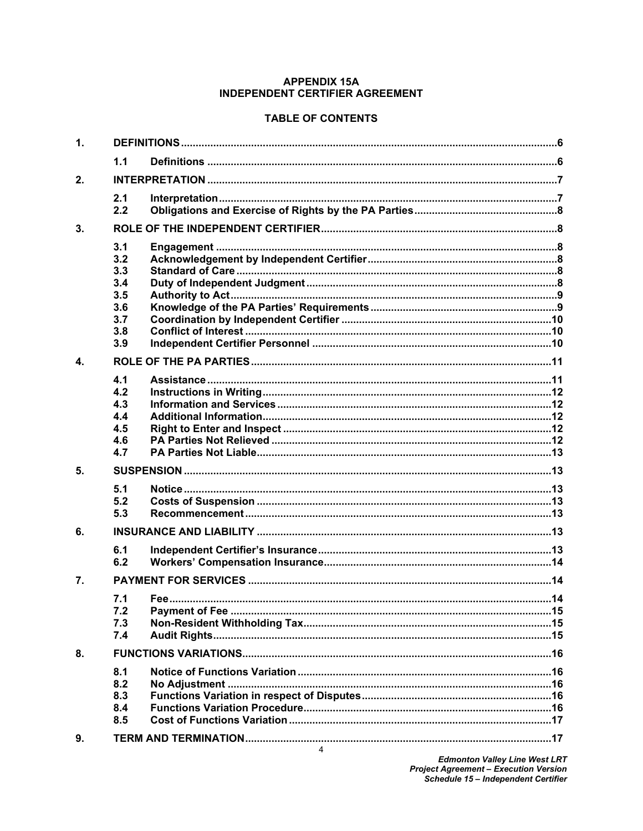## **APPENDIX 15A INDEPENDENT CERTIFIER AGREEMENT**

# <span id="page-5-0"></span>**TABLE OF CONTENTS**

| $\mathbf 1$      |                                                             |  |  |  |  |  |
|------------------|-------------------------------------------------------------|--|--|--|--|--|
|                  | 1.1                                                         |  |  |  |  |  |
| 2.               |                                                             |  |  |  |  |  |
|                  | 2.1<br>2.2                                                  |  |  |  |  |  |
| 3.               |                                                             |  |  |  |  |  |
|                  | 3.1<br>3.2<br>3.3<br>3.4<br>3.5<br>3.6<br>3.7<br>3.8<br>3.9 |  |  |  |  |  |
| $\mathbf{A}$     |                                                             |  |  |  |  |  |
|                  | 4.1<br>4.2<br>4.3<br>4.4<br>4.5<br>4.6<br>4.7               |  |  |  |  |  |
| 5.               |                                                             |  |  |  |  |  |
|                  | 5.1<br>5.2<br>5.3                                           |  |  |  |  |  |
| 6.               |                                                             |  |  |  |  |  |
|                  | 6.1<br>6.2                                                  |  |  |  |  |  |
| $\overline{7}$ . |                                                             |  |  |  |  |  |
|                  | 7.1<br>7.2<br>7.3<br>7.4                                    |  |  |  |  |  |
| 8.               |                                                             |  |  |  |  |  |
|                  | 8.1<br>8.2<br>8.3<br>8.4<br>8.5                             |  |  |  |  |  |
| 9.               |                                                             |  |  |  |  |  |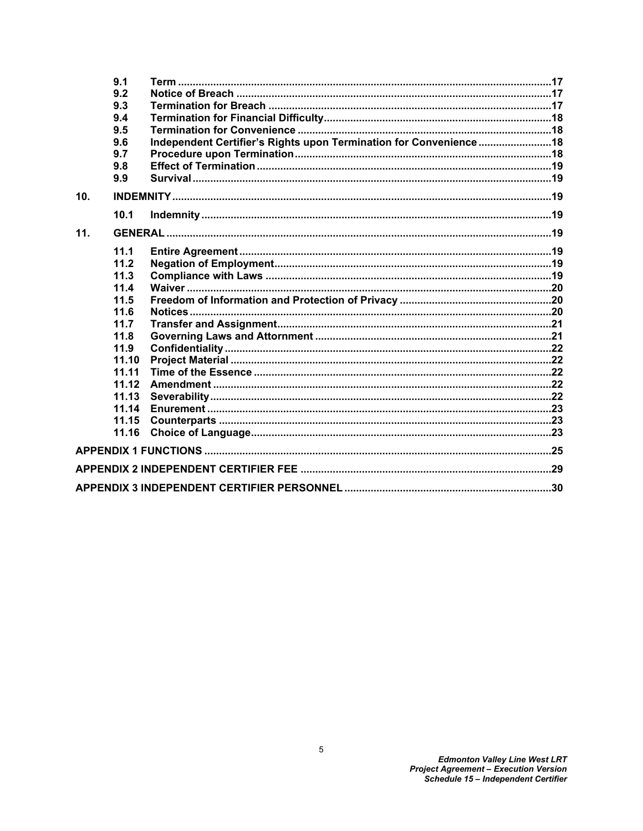|     | 9.1   |                                                                   |  |
|-----|-------|-------------------------------------------------------------------|--|
|     | 9.2   |                                                                   |  |
|     | 9.3   |                                                                   |  |
|     | 9.4   |                                                                   |  |
|     | 9.5   |                                                                   |  |
|     | 9.6   | Independent Certifier's Rights upon Termination for Convenience18 |  |
|     | 9.7   |                                                                   |  |
|     | 9.8   |                                                                   |  |
|     | 9.9   |                                                                   |  |
| 10. |       |                                                                   |  |
|     | 10.1  |                                                                   |  |
| 11. |       |                                                                   |  |
|     | 11.1  |                                                                   |  |
|     | 11.2  |                                                                   |  |
|     | 11.3  |                                                                   |  |
|     | 11.4  |                                                                   |  |
|     | 11.5  |                                                                   |  |
|     | 11.6  |                                                                   |  |
|     | 11.7  |                                                                   |  |
|     | 11.8  |                                                                   |  |
|     | 11.9  |                                                                   |  |
|     | 11.10 |                                                                   |  |
|     | 11.11 |                                                                   |  |
|     | 11.12 |                                                                   |  |
|     | 11.13 |                                                                   |  |
|     | 11.14 |                                                                   |  |
|     | 11.15 |                                                                   |  |
|     | 11.16 |                                                                   |  |
|     |       |                                                                   |  |
|     |       |                                                                   |  |
|     |       |                                                                   |  |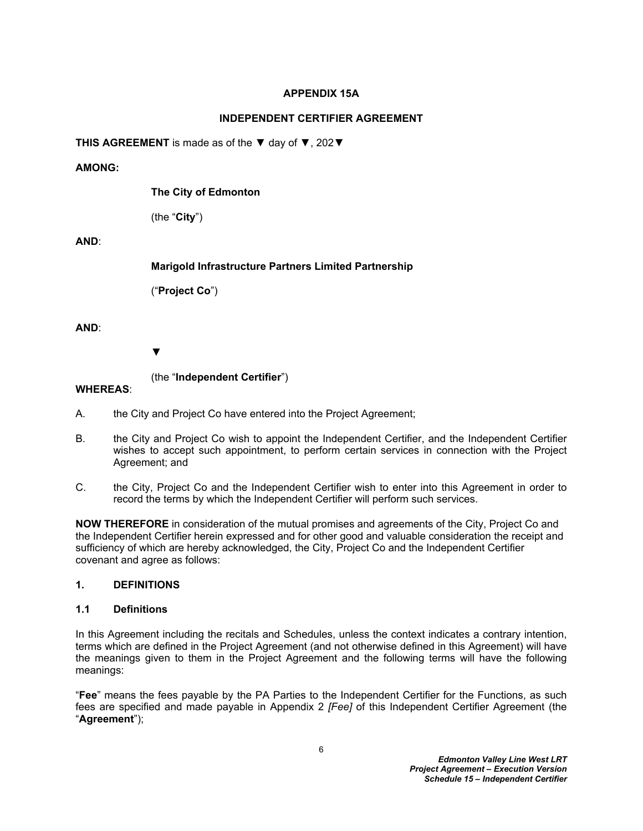# **APPENDIX 15A**

# **INDEPENDENT CERTIFIER AGREEMENT**

**THIS AGREEMENT** is made as of the ▼ day of ▼, 202▼

# **AMONG:**

**The City of Edmonton**

(the "**City**")

# **AND**:

**Marigold Infrastructure Partners Limited Partnership**

("**Project Co**")

**AND**:

▼

(the "**Independent Certifier**")

# **WHEREAS**:

- A. the City and Project Co have entered into the Project Agreement;
- B. the City and Project Co wish to appoint the Independent Certifier, and the Independent Certifier wishes to accept such appointment, to perform certain services in connection with the Project Agreement; and
- C. the City, Project Co and the Independent Certifier wish to enter into this Agreement in order to record the terms by which the Independent Certifier will perform such services.

**NOW THEREFORE** in consideration of the mutual promises and agreements of the City, Project Co and the Independent Certifier herein expressed and for other good and valuable consideration the receipt and sufficiency of which are hereby acknowledged, the City, Project Co and the Independent Certifier covenant and agree as follows:

# <span id="page-7-0"></span>**1. DEFINITIONS**

# <span id="page-7-1"></span>**1.1 Definitions**

In this Agreement including the recitals and Schedules, unless the context indicates a contrary intention, terms which are defined in the Project Agreement (and not otherwise defined in this Agreement) will have the meanings given to them in the Project Agreement and the following terms will have the following meanings:

"**Fee**" means the fees payable by the PA Parties to the Independent Certifier for the Functions, as such fees are specified and made payable in Appendix 2 *[Fee]* of this Independent Certifier Agreement (the "**Agreement**");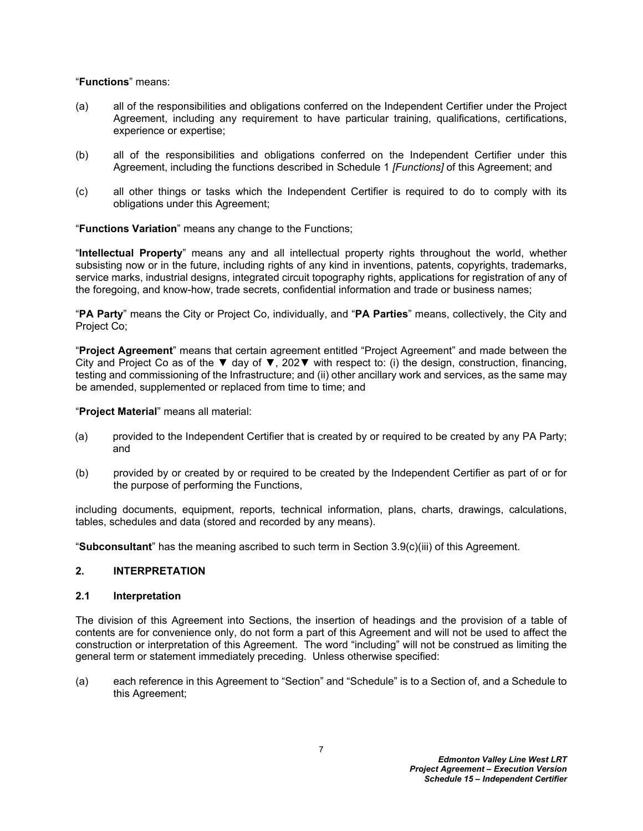"**Functions**" means:

- (a) all of the responsibilities and obligations conferred on the Independent Certifier under the Project Agreement, including any requirement to have particular training, qualifications, certifications, experience or expertise;
- (b) all of the responsibilities and obligations conferred on the Independent Certifier under this Agreement, including the functions described in Schedule 1 *[Functions]* of this Agreement; and
- (c) all other things or tasks which the Independent Certifier is required to do to comply with its obligations under this Agreement;

"**Functions Variation**" means any change to the Functions;

"**Intellectual Property**" means any and all intellectual property rights throughout the world, whether subsisting now or in the future, including rights of any kind in inventions, patents, copyrights, trademarks, service marks, industrial designs, integrated circuit topography rights, applications for registration of any of the foregoing, and know-how, trade secrets, confidential information and trade or business names;

"**PA Party**" means the City or Project Co, individually, and "**PA Parties**" means, collectively, the City and Project Co;

"**Project Agreement**" means that certain agreement entitled "Project Agreement" and made between the City and Project Co as of the  $\blacktriangledown$  day of  $\nabla$ , 202 $\nabla$  with respect to: (i) the design, construction, financing, testing and commissioning of the Infrastructure; and (ii) other ancillary work and services, as the same may be amended, supplemented or replaced from time to time; and

"**Project Material**" means all material:

- (a) provided to the Independent Certifier that is created by or required to be created by any PA Party; and
- (b) provided by or created by or required to be created by the Independent Certifier as part of or for the purpose of performing the Functions,

including documents, equipment, reports, technical information, plans, charts, drawings, calculations, tables, schedules and data (stored and recorded by any means).

"**Subconsultant**" has the meaning ascribed to such term in Section [3.9\(c\)\(iii\)](#page-12-2) of this Agreement.

### <span id="page-8-0"></span>**2. INTERPRETATION**

#### <span id="page-8-1"></span>**2.1 Interpretation**

The division of this Agreement into Sections, the insertion of headings and the provision of a table of contents are for convenience only, do not form a part of this Agreement and will not be used to affect the construction or interpretation of this Agreement. The word "including" will not be construed as limiting the general term or statement immediately preceding. Unless otherwise specified:

(a) each reference in this Agreement to "Section" and "Schedule" is to a Section of, and a Schedule to this Agreement;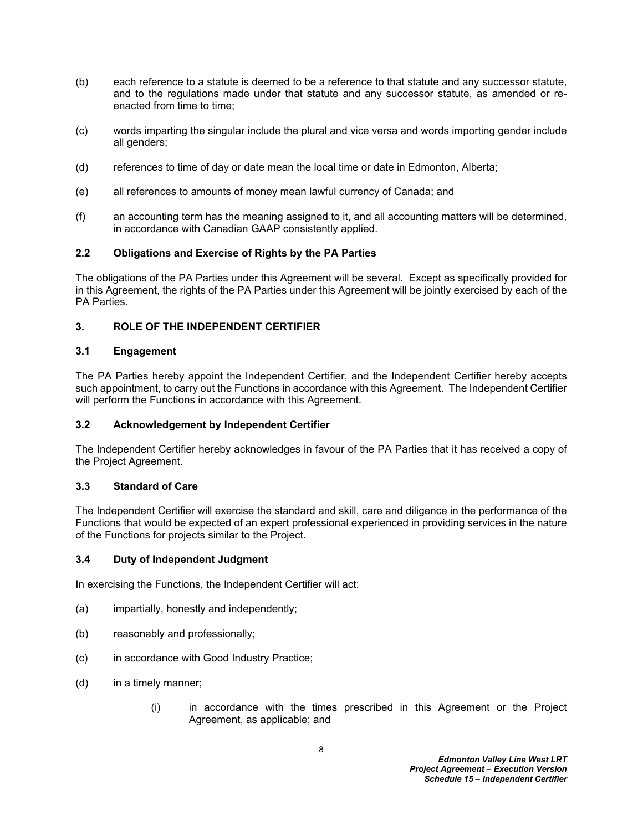- (b) each reference to a statute is deemed to be a reference to that statute and any successor statute, and to the regulations made under that statute and any successor statute, as amended or reenacted from time to time;
- (c) words imparting the singular include the plural and vice versa and words importing gender include all genders;
- (d) references to time of day or date mean the local time or date in Edmonton, Alberta;
- (e) all references to amounts of money mean lawful currency of Canada; and
- (f) an accounting term has the meaning assigned to it, and all accounting matters will be determined, in accordance with Canadian GAAP consistently applied.

## <span id="page-9-0"></span>**2.2 Obligations and Exercise of Rights by the PA Parties**

The obligations of the PA Parties under this Agreement will be several. Except as specifically provided for in this Agreement, the rights of the PA Parties under this Agreement will be jointly exercised by each of the PA Parties.

# <span id="page-9-1"></span>**3. ROLE OF THE INDEPENDENT CERTIFIER**

## <span id="page-9-2"></span>**3.1 Engagement**

The PA Parties hereby appoint the Independent Certifier, and the Independent Certifier hereby accepts such appointment, to carry out the Functions in accordance with this Agreement. The Independent Certifier will perform the Functions in accordance with this Agreement.

### <span id="page-9-3"></span>**3.2 Acknowledgement by Independent Certifier**

The Independent Certifier hereby acknowledges in favour of the PA Parties that it has received a copy of the Project Agreement.

### <span id="page-9-4"></span>**3.3 Standard of Care**

The Independent Certifier will exercise the standard and skill, care and diligence in the performance of the Functions that would be expected of an expert professional experienced in providing services in the nature of the Functions for projects similar to the Project.

### <span id="page-9-5"></span>**3.4 Duty of Independent Judgment**

In exercising the Functions, the Independent Certifier will act:

- (a) impartially, honestly and independently;
- (b) reasonably and professionally;
- (c) in accordance with Good Industry Practice;
- (d) in a timely manner;
	- (i) in accordance with the times prescribed in this Agreement or the Project Agreement, as applicable; and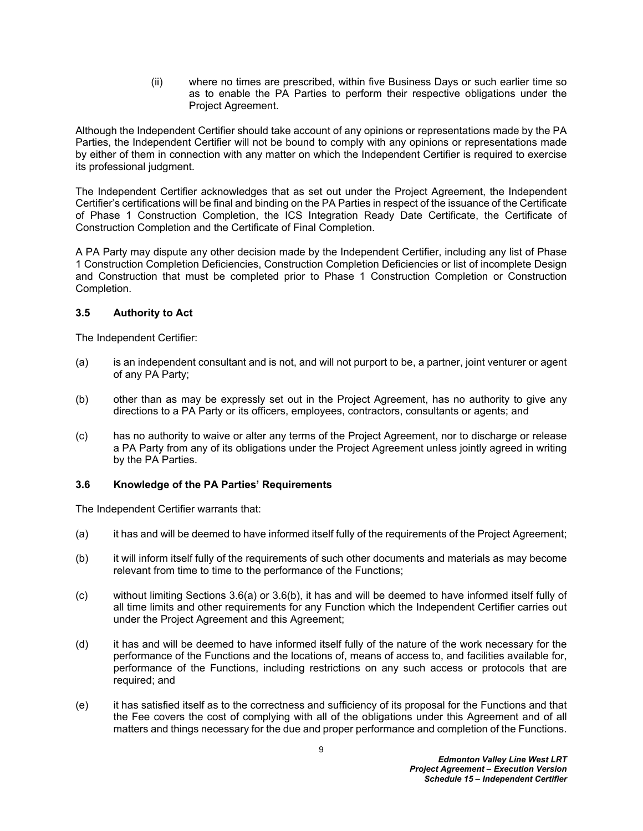(ii) where no times are prescribed, within five Business Days or such earlier time so as to enable the PA Parties to perform their respective obligations under the Project Agreement.

Although the Independent Certifier should take account of any opinions or representations made by the PA Parties, the Independent Certifier will not be bound to comply with any opinions or representations made by either of them in connection with any matter on which the Independent Certifier is required to exercise its professional judgment.

The Independent Certifier acknowledges that as set out under the Project Agreement, the Independent Certifier's certifications will be final and binding on the PA Parties in respect of the issuance of the Certificate of Phase 1 Construction Completion, the ICS Integration Ready Date Certificate, the Certificate of Construction Completion and the Certificate of Final Completion.

A PA Party may dispute any other decision made by the Independent Certifier, including any list of Phase 1 Construction Completion Deficiencies, Construction Completion Deficiencies or list of incomplete Design and Construction that must be completed prior to Phase 1 Construction Completion or Construction Completion.

# <span id="page-10-0"></span>**3.5 Authority to Act**

The Independent Certifier:

- (a) is an independent consultant and is not, and will not purport to be, a partner, joint venturer or agent of any PA Party;
- (b) other than as may be expressly set out in the Project Agreement, has no authority to give any directions to a PA Party or its officers, employees, contractors, consultants or agents; and
- (c) has no authority to waive or alter any terms of the Project Agreement, nor to discharge or release a PA Party from any of its obligations under the Project Agreement unless jointly agreed in writing by the PA Parties.

# <span id="page-10-1"></span>**3.6 Knowledge of the PA Parties' Requirements**

The Independent Certifier warrants that:

- <span id="page-10-2"></span>(a) it has and will be deemed to have informed itself fully of the requirements of the Project Agreement;
- <span id="page-10-3"></span>(b) it will inform itself fully of the requirements of such other documents and materials as may become relevant from time to time to the performance of the Functions;
- (c) without limiting Sections [3.6\(a\)](#page-10-2) or [3.6\(b\),](#page-10-3) it has and will be deemed to have informed itself fully of all time limits and other requirements for any Function which the Independent Certifier carries out under the Project Agreement and this Agreement;
- (d) it has and will be deemed to have informed itself fully of the nature of the work necessary for the performance of the Functions and the locations of, means of access to, and facilities available for, performance of the Functions, including restrictions on any such access or protocols that are required; and
- (e) it has satisfied itself as to the correctness and sufficiency of its proposal for the Functions and that the Fee covers the cost of complying with all of the obligations under this Agreement and of all matters and things necessary for the due and proper performance and completion of the Functions.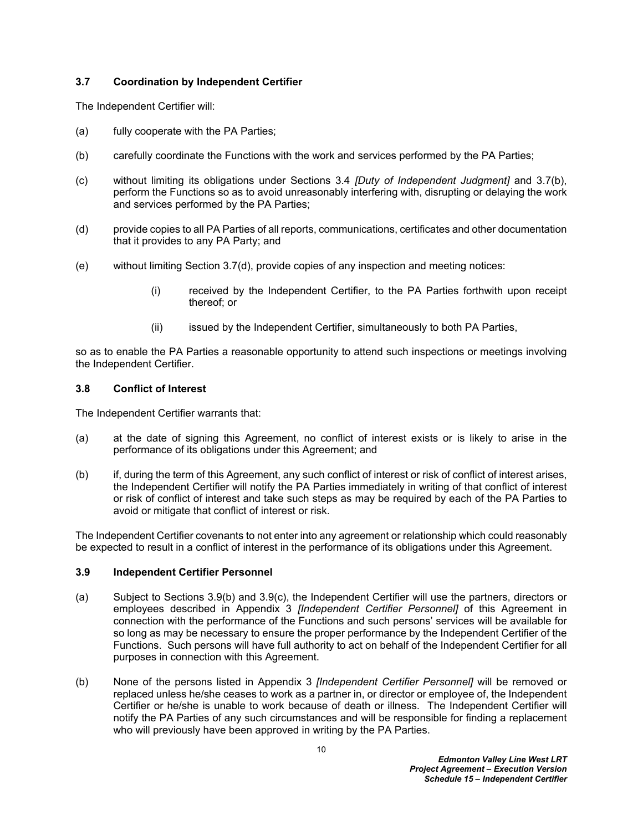## <span id="page-11-0"></span>**3.7 Coordination by Independent Certifier**

The Independent Certifier will:

- (a) fully cooperate with the PA Parties;
- <span id="page-11-3"></span>(b) carefully coordinate the Functions with the work and services performed by the PA Parties;
- (c) without limiting its obligations under Sections [3.4](#page-9-5) *[Duty of Independent Judgment]* and [3.7\(b\)](#page-11-3), perform the Functions so as to avoid unreasonably interfering with, disrupting or delaying the work and services performed by the PA Parties;
- <span id="page-11-4"></span>(d) provide copies to all PA Parties of all reports, communications, certificates and other documentation that it provides to any PA Party; and
- (e) without limiting Section [3.7\(d\),](#page-11-4) provide copies of any inspection and meeting notices:
	- (i) received by the Independent Certifier, to the PA Parties forthwith upon receipt thereof; or
	- (ii) issued by the Independent Certifier, simultaneously to both PA Parties,

so as to enable the PA Parties a reasonable opportunity to attend such inspections or meetings involving the Independent Certifier.

## <span id="page-11-1"></span>**3.8 Conflict of Interest**

The Independent Certifier warrants that:

- (a) at the date of signing this Agreement, no conflict of interest exists or is likely to arise in the performance of its obligations under this Agreement; and
- (b) if, during the term of this Agreement, any such conflict of interest or risk of conflict of interest arises, the Independent Certifier will notify the PA Parties immediately in writing of that conflict of interest or risk of conflict of interest and take such steps as may be required by each of the PA Parties to avoid or mitigate that conflict of interest or risk.

The Independent Certifier covenants to not enter into any agreement or relationship which could reasonably be expected to result in a conflict of interest in the performance of its obligations under this Agreement.

### <span id="page-11-2"></span>**3.9 Independent Certifier Personnel**

- (a) Subject to Sections [3.9\(b\)](#page-11-5) and [3.9\(c\),](#page-12-3) the Independent Certifier will use the partners, directors or employees described in [Appendix 3](#page-31-1) *[Independent Certifier Personnel]* of this Agreement in connection with the performance of the Functions and such persons' services will be available for so long as may be necessary to ensure the proper performance by the Independent Certifier of the Functions. Such persons will have full authority to act on behalf of the Independent Certifier for all purposes in connection with this Agreement.
- <span id="page-11-5"></span>(b) None of the persons listed in [Appendix 3](#page-31-1) *[Independent Certifier Personnel]* will be removed or replaced unless he/she ceases to work as a partner in, or director or employee of, the Independent Certifier or he/she is unable to work because of death or illness. The Independent Certifier will notify the PA Parties of any such circumstances and will be responsible for finding a replacement who will previously have been approved in writing by the PA Parties.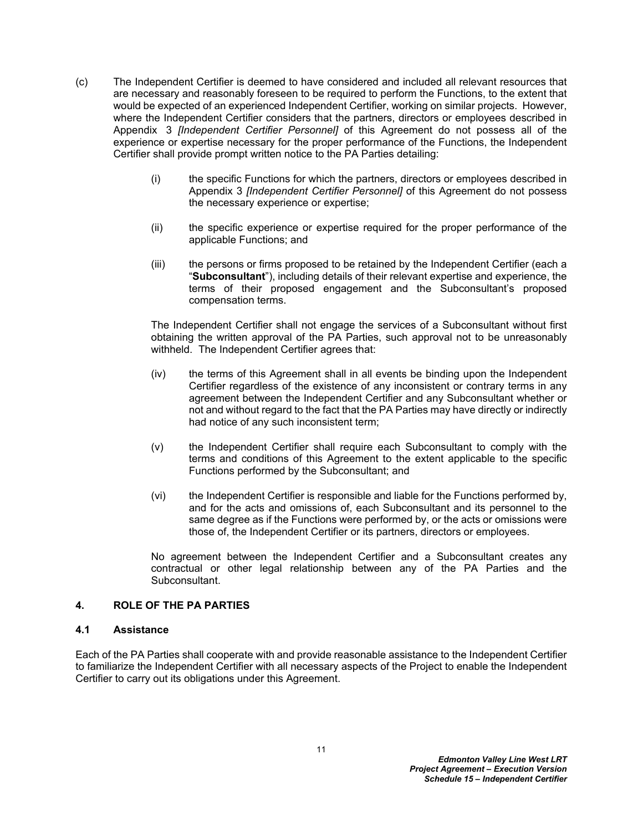- <span id="page-12-3"></span>(c) The Independent Certifier is deemed to have considered and included all relevant resources that are necessary and reasonably foreseen to be required to perform the Functions, to the extent that would be expected of an experienced Independent Certifier, working on similar projects. However, where the Independent Certifier considers that the partners, directors or employees described in Appendix 3 *[Independent Certifier Personnel]* of this Agreement do not possess all of the experience or expertise necessary for the proper performance of the Functions, the Independent Certifier shall provide prompt written notice to the PA Parties detailing:
	- (i) the specific Functions for which the partners, directors or employees described in [Appendix 3](#page-31-1) *[Independent Certifier Personnel]* of this Agreement do not possess the necessary experience or expertise;
	- (ii) the specific experience or expertise required for the proper performance of the applicable Functions; and
	- (iii) the persons or firms proposed to be retained by the Independent Certifier (each a "**Subconsultant**"), including details of their relevant expertise and experience, the terms of their proposed engagement and the Subconsultant's proposed compensation terms.

<span id="page-12-2"></span>The Independent Certifier shall not engage the services of a Subconsultant without first obtaining the written approval of the PA Parties, such approval not to be unreasonably withheld. The Independent Certifier agrees that:

- (iv) the terms of this Agreement shall in all events be binding upon the Independent Certifier regardless of the existence of any inconsistent or contrary terms in any agreement between the Independent Certifier and any Subconsultant whether or not and without regard to the fact that the PA Parties may have directly or indirectly had notice of any such inconsistent term;
- (v) the Independent Certifier shall require each Subconsultant to comply with the terms and conditions of this Agreement to the extent applicable to the specific Functions performed by the Subconsultant; and
- (vi) the Independent Certifier is responsible and liable for the Functions performed by, and for the acts and omissions of, each Subconsultant and its personnel to the same degree as if the Functions were performed by, or the acts or omissions were those of, the Independent Certifier or its partners, directors or employees.

No agreement between the Independent Certifier and a Subconsultant creates any contractual or other legal relationship between any of the PA Parties and the Subconsultant.

# <span id="page-12-0"></span>**4. ROLE OF THE PA PARTIES**

### <span id="page-12-1"></span>**4.1 Assistance**

Each of the PA Parties shall cooperate with and provide reasonable assistance to the Independent Certifier to familiarize the Independent Certifier with all necessary aspects of the Project to enable the Independent Certifier to carry out its obligations under this Agreement.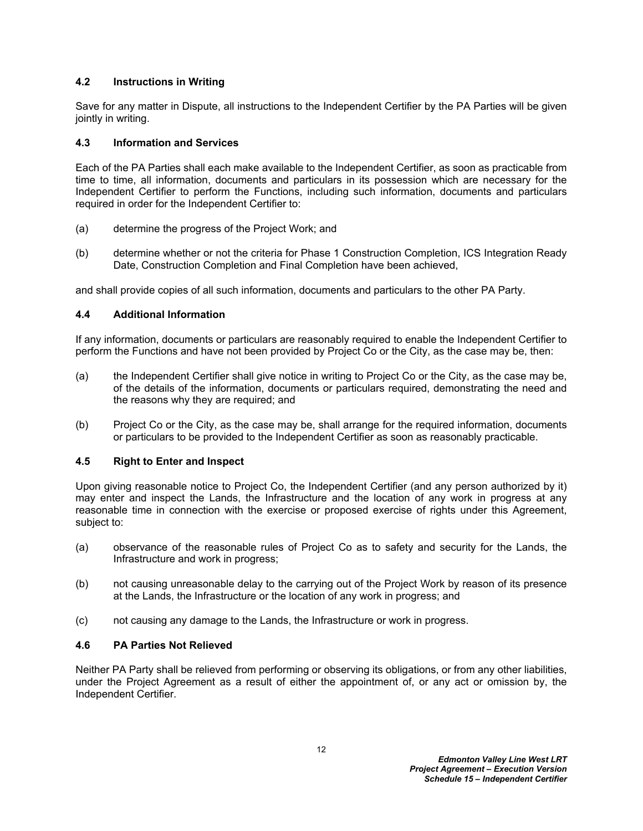## <span id="page-13-0"></span>**4.2 Instructions in Writing**

Save for any matter in Dispute, all instructions to the Independent Certifier by the PA Parties will be given jointly in writing.

## <span id="page-13-1"></span>**4.3 Information and Services**

Each of the PA Parties shall each make available to the Independent Certifier, as soon as practicable from time to time, all information, documents and particulars in its possession which are necessary for the Independent Certifier to perform the Functions, including such information, documents and particulars required in order for the Independent Certifier to:

- (a) determine the progress of the Project Work; and
- (b) determine whether or not the criteria for Phase 1 Construction Completion, ICS Integration Ready Date, Construction Completion and Final Completion have been achieved,

and shall provide copies of all such information, documents and particulars to the other PA Party.

## <span id="page-13-2"></span>**4.4 Additional Information**

If any information, documents or particulars are reasonably required to enable the Independent Certifier to perform the Functions and have not been provided by Project Co or the City, as the case may be, then:

- (a) the Independent Certifier shall give notice in writing to Project Co or the City, as the case may be, of the details of the information, documents or particulars required, demonstrating the need and the reasons why they are required; and
- (b) Project Co or the City, as the case may be, shall arrange for the required information, documents or particulars to be provided to the Independent Certifier as soon as reasonably practicable.

## <span id="page-13-3"></span>**4.5 Right to Enter and Inspect**

Upon giving reasonable notice to Project Co, the Independent Certifier (and any person authorized by it) may enter and inspect the Lands, the Infrastructure and the location of any work in progress at any reasonable time in connection with the exercise or proposed exercise of rights under this Agreement, subject to:

- (a) observance of the reasonable rules of Project Co as to safety and security for the Lands, the Infrastructure and work in progress;
- (b) not causing unreasonable delay to the carrying out of the Project Work by reason of its presence at the Lands, the Infrastructure or the location of any work in progress; and
- (c) not causing any damage to the Lands, the Infrastructure or work in progress.

### <span id="page-13-4"></span>**4.6 PA Parties Not Relieved**

Neither PA Party shall be relieved from performing or observing its obligations, or from any other liabilities, under the Project Agreement as a result of either the appointment of, or any act or omission by, the Independent Certifier.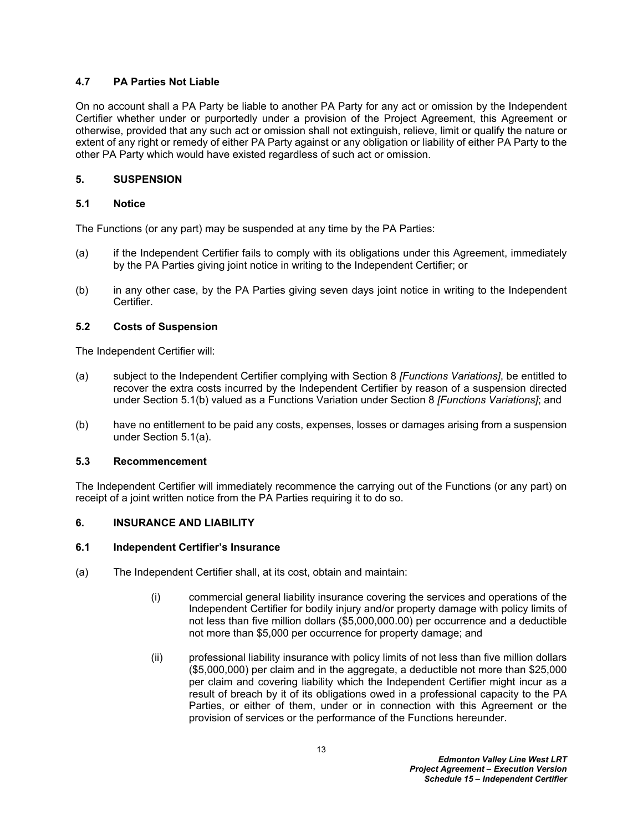# <span id="page-14-0"></span>**4.7 PA Parties Not Liable**

On no account shall a PA Party be liable to another PA Party for any act or omission by the Independent Certifier whether under or purportedly under a provision of the Project Agreement, this Agreement or otherwise, provided that any such act or omission shall not extinguish, relieve, limit or qualify the nature or extent of any right or remedy of either PA Party against or any obligation or liability of either PA Party to the other PA Party which would have existed regardless of such act or omission.

# <span id="page-14-1"></span>**5. SUSPENSION**

# <span id="page-14-2"></span>**5.1 Notice**

The Functions (or any part) may be suspended at any time by the PA Parties:

- <span id="page-14-8"></span>(a) if the Independent Certifier fails to comply with its obligations under this Agreement, immediately by the PA Parties giving joint notice in writing to the Independent Certifier; or
- <span id="page-14-7"></span>(b) in any other case, by the PA Parties giving seven days joint notice in writing to the Independent Certifier.

# <span id="page-14-3"></span>**5.2 Costs of Suspension**

The Independent Certifier will:

- (a) subject to the Independent Certifier complying with Section 8 *[Functions Variations]*, be entitled to recover the extra costs incurred by the Independent Certifier by reason of a suspension directed under Section [5.1\(b\)](#page-14-7) valued as a Functions Variation under Section 8 *[Functions Variations]*; and
- (b) have no entitlement to be paid any costs, expenses, losses or damages arising from a suspension under Section [5.1\(a\).](#page-14-8)

# <span id="page-14-4"></span>**5.3 Recommencement**

The Independent Certifier will immediately recommence the carrying out of the Functions (or any part) on receipt of a joint written notice from the PA Parties requiring it to do so.

# <span id="page-14-5"></span>**6. INSURANCE AND LIABILITY**

# <span id="page-14-6"></span>**6.1 Independent Certifier's Insurance**

- <span id="page-14-9"></span>(a) The Independent Certifier shall, at its cost, obtain and maintain:
	- (i) commercial general liability insurance covering the services and operations of the Independent Certifier for bodily injury and/or property damage with policy limits of not less than five million dollars (\$5,000,000.00) per occurrence and a deductible not more than \$5,000 per occurrence for property damage; and
	- (ii) professional liability insurance with policy limits of not less than five million dollars (\$5,000,000) per claim and in the aggregate, a deductible not more than \$25,000 per claim and covering liability which the Independent Certifier might incur as a result of breach by it of its obligations owed in a professional capacity to the PA Parties, or either of them, under or in connection with this Agreement or the provision of services or the performance of the Functions hereunder.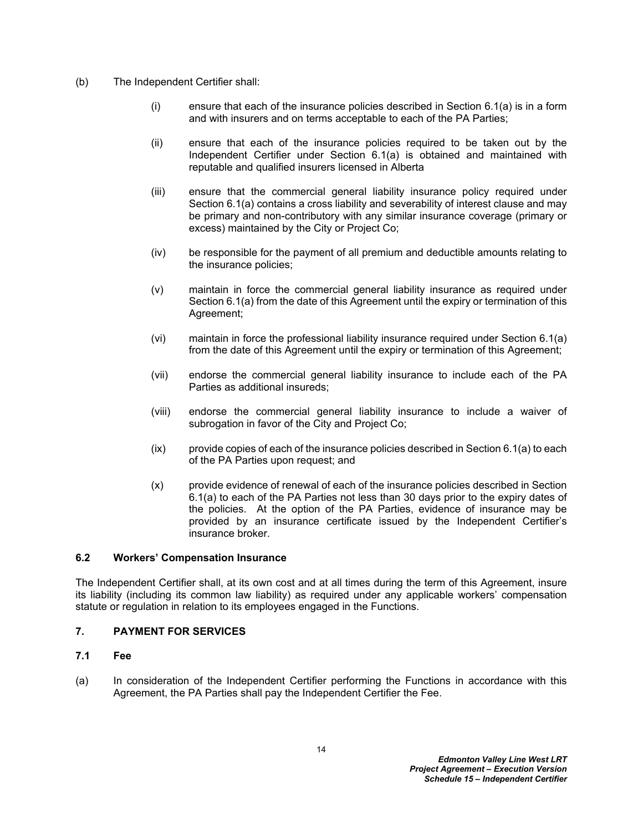- (b) The Independent Certifier shall:
	- (i) ensure that each of the insurance policies described in Section [6.1\(a\)](#page-14-9) is in a form and with insurers and on terms acceptable to each of the PA Parties;
	- (ii) ensure that each of the insurance policies required to be taken out by the Independent Certifier under Section [6.1\(a\)](#page-14-9) is obtained and maintained with reputable and qualified insurers licensed in Alberta
	- (iii) ensure that the commercial general liability insurance policy required under Section [6.1\(a\)](#page-14-9) contains a cross liability and severability of interest clause and may be primary and non-contributory with any similar insurance coverage (primary or excess) maintained by the City or Project Co;
	- (iv) be responsible for the payment of all premium and deductible amounts relating to the insurance policies;
	- (v) maintain in force the commercial general liability insurance as required under Section [6.1\(a\)](#page-14-9) from the date of this Agreement until the expiry or termination of this Agreement;
	- (vi) maintain in force the professional liability insurance required under Section [6.1\(a\)](#page-14-9)  from the date of this Agreement until the expiry or termination of this Agreement;
	- (vii) endorse the commercial general liability insurance to include each of the PA Parties as additional insureds;
	- (viii) endorse the commercial general liability insurance to include a waiver of subrogation in favor of the City and Project Co;
	- $(ix)$  provide copies of each of the insurance policies described in Section [6.1\(a\)](#page-14-9) to each of the PA Parties upon request; and
	- (x) provide evidence of renewal of each of the insurance policies described in Section [6.1\(a\)](#page-14-9) to each of the PA Parties not less than 30 days prior to the expiry dates of the policies. At the option of the PA Parties, evidence of insurance may be provided by an insurance certificate issued by the Independent Certifier's insurance broker.

# <span id="page-15-0"></span>**6.2 Workers' Compensation Insurance**

The Independent Certifier shall, at its own cost and at all times during the term of this Agreement, insure its liability (including its common law liability) as required under any applicable workers' compensation statute or regulation in relation to its employees engaged in the Functions.

# <span id="page-15-1"></span>**7. PAYMENT FOR SERVICES**

### <span id="page-15-2"></span>**7.1 Fee**

(a) In consideration of the Independent Certifier performing the Functions in accordance with this Agreement, the PA Parties shall pay the Independent Certifier the Fee.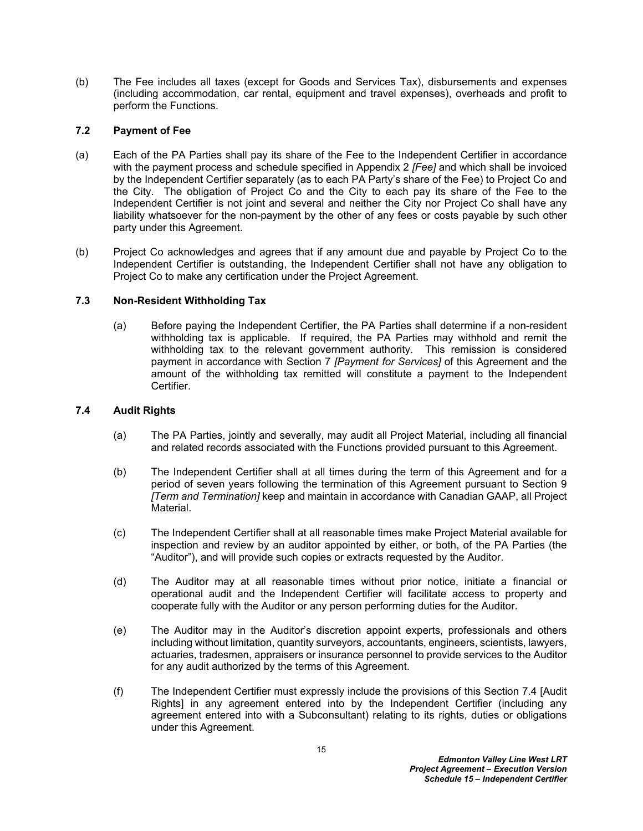(b) The Fee includes all taxes (except for Goods and Services Tax), disbursements and expenses (including accommodation, car rental, equipment and travel expenses), overheads and profit to perform the Functions.

## <span id="page-16-0"></span>**7.2 Payment of Fee**

- (a) Each of the PA Parties shall pay its share of the Fee to the Independent Certifier in accordance with the payment process and schedule specified in [Appendix 2](#page-30-1) *[Fee]* and which shall be invoiced by the Independent Certifier separately (as to each PA Party's share of the Fee) to Project Co and the City. The obligation of Project Co and the City to each pay its share of the Fee to the Independent Certifier is not joint and several and neither the City nor Project Co shall have any liability whatsoever for the non-payment by the other of any fees or costs payable by such other party under this Agreement.
- (b) Project Co acknowledges and agrees that if any amount due and payable by Project Co to the Independent Certifier is outstanding, the Independent Certifier shall not have any obligation to Project Co to make any certification under the Project Agreement.

# <span id="page-16-1"></span>**7.3 Non-Resident Withholding Tax**

(a) Before paying the Independent Certifier, the PA Parties shall determine if a non-resident withholding tax is applicable. If required, the PA Parties may withhold and remit the withholding tax to the relevant government authority. This remission is considered payment in accordance with Section [7](#page-15-1) *[Payment for Services]* of this Agreement and the amount of the withholding tax remitted will constitute a payment to the Independent Certifier.

## <span id="page-16-2"></span>**7.4 Audit Rights**

- (a) The PA Parties, jointly and severally, may audit all Project Material, including all financial and related records associated with the Functions provided pursuant to this Agreement.
- (b) The Independent Certifier shall at all times during the term of this Agreement and for a period of seven years following the termination of this Agreement pursuant to Section 9 *[Term and Termination]* keep and maintain in accordance with Canadian GAAP, all Project Material.
- (c) The Independent Certifier shall at all reasonable times make Project Material available for inspection and review by an auditor appointed by either, or both, of the PA Parties (the "Auditor"), and will provide such copies or extracts requested by the Auditor.
- (d) The Auditor may at all reasonable times without prior notice, initiate a financial or operational audit and the Independent Certifier will facilitate access to property and cooperate fully with the Auditor or any person performing duties for the Auditor.
- (e) The Auditor may in the Auditor's discretion appoint experts, professionals and others including without limitation, quantity surveyors, accountants, engineers, scientists, lawyers, actuaries, tradesmen, appraisers or insurance personnel to provide services to the Auditor for any audit authorized by the terms of this Agreement.
- (f) The Independent Certifier must expressly include the provisions of this Section [7.4](#page-16-2) [Audit Rights] in any agreement entered into by the Independent Certifier (including any agreement entered into with a Subconsultant) relating to its rights, duties or obligations under this Agreement.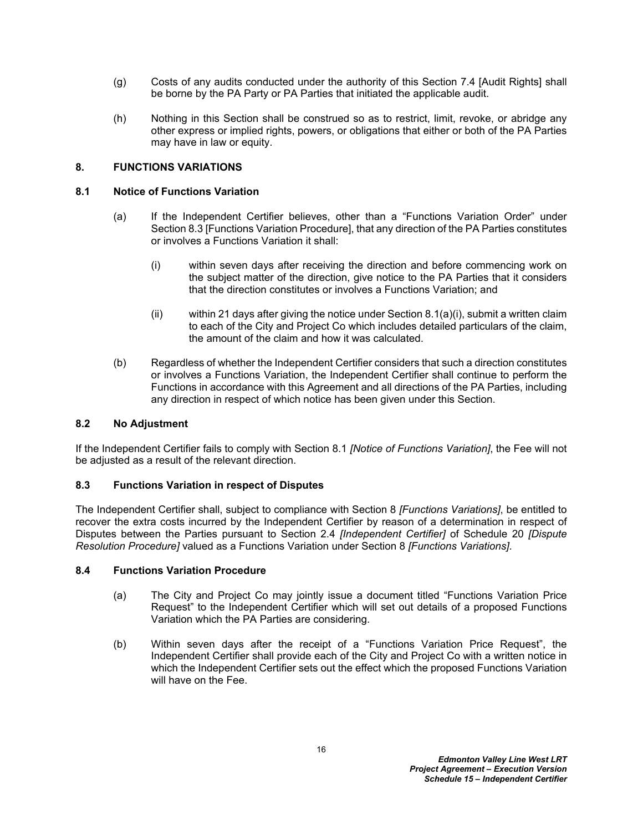- (g) Costs of any audits conducted under the authority of this Section [7.4](#page-16-2) [Audit Rights] shall be borne by the PA Party or PA Parties that initiated the applicable audit.
- (h) Nothing in this Section shall be construed so as to restrict, limit, revoke, or abridge any other express or implied rights, powers, or obligations that either or both of the PA Parties may have in law or equity.

# <span id="page-17-0"></span>**8. FUNCTIONS VARIATIONS**

## <span id="page-17-1"></span>**8.1 Notice of Functions Variation**

- <span id="page-17-5"></span>(a) If the Independent Certifier believes, other than a "Functions Variation Order" under Section [8.3](#page-17-3) [Functions Variation Procedure], that any direction of the PA Parties constitutes or involves a Functions Variation it shall:
	- (i) within seven days after receiving the direction and before commencing work on the subject matter of the direction, give notice to the PA Parties that it considers that the direction constitutes or involves a Functions Variation; and
	- (ii) within 21 days after giving the notice under Section [8.1\(a\)\(i\),](#page-17-5) submit a written claim to each of the City and Project Co which includes detailed particulars of the claim, the amount of the claim and how it was calculated.
- (b) Regardless of whether the Independent Certifier considers that such a direction constitutes or involves a Functions Variation, the Independent Certifier shall continue to perform the Functions in accordance with this Agreement and all directions of the PA Parties, including any direction in respect of which notice has been given under this Section.

# <span id="page-17-2"></span>**8.2 No Adjustment**

If the Independent Certifier fails to comply with Section [8.1](#page-17-1) *[Notice of Functions Variation]*, the Fee will not be adjusted as a result of the relevant direction.

# <span id="page-17-3"></span>**8.3 Functions Variation in respect of Disputes**

The Independent Certifier shall, subject to compliance with Section 8 *[Functions Variations]*, be entitled to recover the extra costs incurred by the Independent Certifier by reason of a determination in respect of Disputes between the Parties pursuant to Section 2.4 *[Independent Certifier]* of Schedule 20 *[Dispute Resolution Procedure]* valued as a Functions Variation under Section 8 *[Functions Variations]*.

### <span id="page-17-4"></span>**8.4 Functions Variation Procedure**

- (a) The City and Project Co may jointly issue a document titled "Functions Variation Price Request" to the Independent Certifier which will set out details of a proposed Functions Variation which the PA Parties are considering.
- (b) Within seven days after the receipt of a "Functions Variation Price Request", the Independent Certifier shall provide each of the City and Project Co with a written notice in which the Independent Certifier sets out the effect which the proposed Functions Variation will have on the Fee.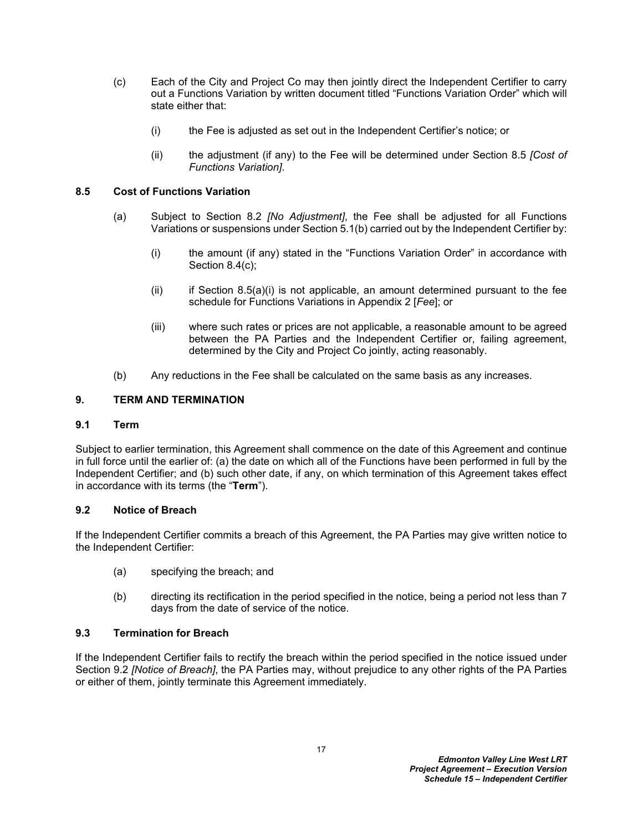- <span id="page-18-5"></span>(c) Each of the City and Project Co may then jointly direct the Independent Certifier to carry out a Functions Variation by written document titled "Functions Variation Order" which will state either that:
	- (i) the Fee is adjusted as set out in the Independent Certifier's notice; or
	- (ii) the adjustment (if any) to the Fee will be determined under Section [8.5](#page-18-0) *[Cost of Functions Variation]*.

## <span id="page-18-0"></span>**8.5 Cost of Functions Variation**

- <span id="page-18-6"></span>(a) Subject to Section [8.2](#page-17-2) *[No Adjustment]*, the Fee shall be adjusted for all Functions Variations or suspensions under Section [5.1\(b\)](#page-14-7) carried out by the Independent Certifier by:
	- (i) the amount (if any) stated in the "Functions Variation Order" in accordance with Section [8.4\(c\);](#page-18-5)
	- $(i)$  if Section 8.5(a) $(i)$  is not applicable, an amount determined pursuant to the fee schedule for Functions Variations in [Appendix 2](#page-30-1) [*Fee*]; or
	- (iii) where such rates or prices are not applicable, a reasonable amount to be agreed between the PA Parties and the Independent Certifier or, failing agreement, determined by the City and Project Co jointly, acting reasonably.
- (b) Any reductions in the Fee shall be calculated on the same basis as any increases.

## <span id="page-18-1"></span>**9. TERM AND TERMINATION**

### <span id="page-18-2"></span>**9.1 Term**

Subject to earlier termination, this Agreement shall commence on the date of this Agreement and continue in full force until the earlier of: (a) the date on which all of the Functions have been performed in full by the Independent Certifier; and (b) such other date, if any, on which termination of this Agreement takes effect in accordance with its terms (the "**Term**").

### <span id="page-18-3"></span>**9.2 Notice of Breach**

If the Independent Certifier commits a breach of this Agreement, the PA Parties may give written notice to the Independent Certifier:

- (a) specifying the breach; and
- (b) directing its rectification in the period specified in the notice, being a period not less than 7 days from the date of service of the notice.

### <span id="page-18-4"></span>**9.3 Termination for Breach**

If the Independent Certifier fails to rectify the breach within the period specified in the notice issued under Section [9.2](#page-18-3) *[Notice of Breach]*, the PA Parties may, without prejudice to any other rights of the PA Parties or either of them, jointly terminate this Agreement immediately.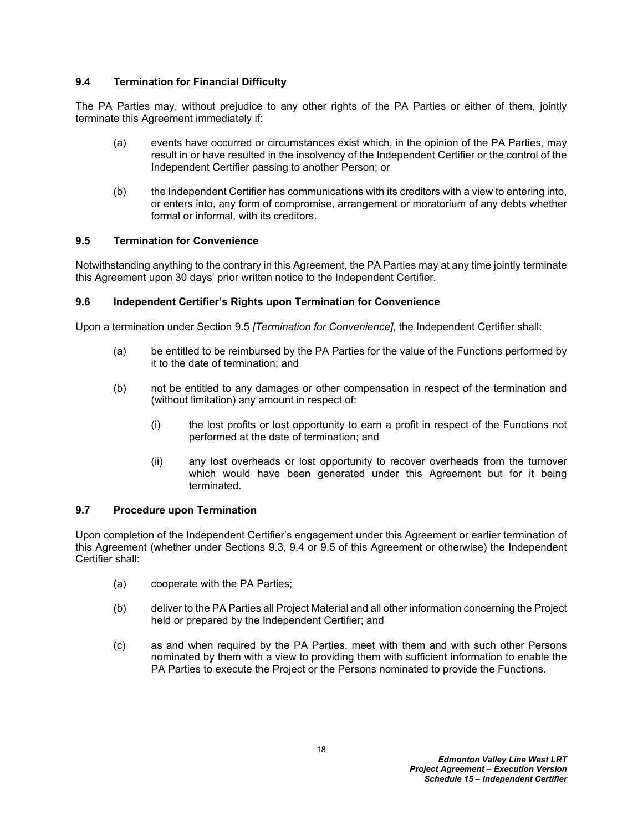# <span id="page-19-0"></span>**9.4 Termination for Financial Difficulty**

The PA Parties may, without prejudice to any other rights of the PA Parties or either of them, jointly terminate this Agreement immediately if:

- (a) events have occurred or circumstances exist which, in the opinion of the PA Parties, may result in or have resulted in the insolvency of the Independent Certifier or the control of the Independent Certifier passing to another Person; or
- (b) the Independent Certifier has communications with its creditors with a view to entering into, or enters into, any form of compromise, arrangement or moratorium of any debts whether formal or informal, with its creditors.

# <span id="page-19-1"></span>**9.5 Termination for Convenience**

Notwithstanding anything to the contrary in this Agreement, the PA Parties may at any time jointly terminate this Agreement upon 30 days' prior written notice to the Independent Certifier.

# <span id="page-19-2"></span>**9.6 Independent Certifier's Rights upon Termination for Convenience**

Upon a termination under Section [9.5](#page-19-1) *[Termination for Convenience]*, the Independent Certifier shall:

- (a) be entitled to be reimbursed by the PA Parties for the value of the Functions performed by it to the date of termination; and
- (b) not be entitled to any damages or other compensation in respect of the termination and (without limitation) any amount in respect of:
	- (i) the lost profits or lost opportunity to earn a profit in respect of the Functions not performed at the date of termination; and
	- (ii) any lost overheads or lost opportunity to recover overheads from the turnover which would have been generated under this Agreement but for it being terminated.

# <span id="page-19-3"></span>**9.7 Procedure upon Termination**

Upon completion of the Independent Certifier's engagement under this Agreement or earlier termination of this Agreement (whether under Sections [9.3,](#page-18-4) [9.4](#page-19-0) or [9.5](#page-19-1) of this Agreement or otherwise) the Independent Certifier shall:

- (a) cooperate with the PA Parties;
- (b) deliver to the PA Parties all Project Material and all other information concerning the Project held or prepared by the Independent Certifier; and
- (c) as and when required by the PA Parties, meet with them and with such other Persons nominated by them with a view to providing them with sufficient information to enable the PA Parties to execute the Project or the Persons nominated to provide the Functions.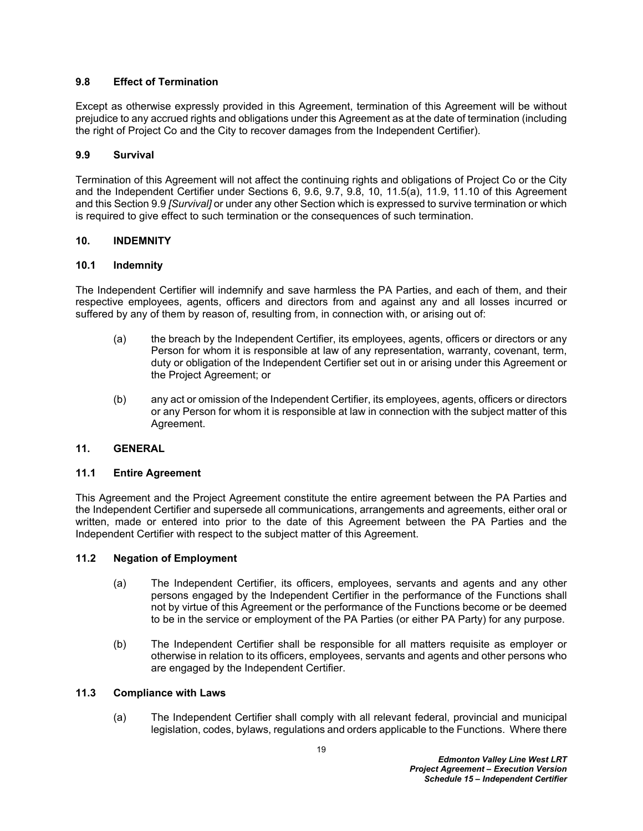# <span id="page-20-0"></span>**9.8 Effect of Termination**

Except as otherwise expressly provided in this Agreement, termination of this Agreement will be without prejudice to any accrued rights and obligations under this Agreement as at the date of termination (including the right of Project Co and the City to recover damages from the Independent Certifier).

## <span id="page-20-1"></span>**9.9 Survival**

Termination of this Agreement will not affect the continuing rights and obligations of Project Co or the City and the Independent Certifier under Sections [6,](#page-3-3) [9.6,](#page-19-2) [9.7](#page-19-3), [9.8](#page-20-0), [10,](#page-20-2) [11.5\(a\),](#page-21-3) [11.9](#page-23-0), [11.10](#page-23-1) of this Agreement and this Section [9.9](#page-20-1) *[Survival]* or under any other Section which is expressed to survive termination or which is required to give effect to such termination or the consequences of such termination.

## <span id="page-20-2"></span>**10. INDEMNITY**

## <span id="page-20-3"></span>**10.1 Indemnity**

The Independent Certifier will indemnify and save harmless the PA Parties, and each of them, and their respective employees, agents, officers and directors from and against any and all losses incurred or suffered by any of them by reason of, resulting from, in connection with, or arising out of:

- (a) the breach by the Independent Certifier, its employees, agents, officers or directors or any Person for whom it is responsible at law of any representation, warranty, covenant, term, duty or obligation of the Independent Certifier set out in or arising under this Agreement or the Project Agreement; or
- (b) any act or omission of the Independent Certifier, its employees, agents, officers or directors or any Person for whom it is responsible at law in connection with the subject matter of this Agreement.

## <span id="page-20-4"></span>**11. GENERAL**

### <span id="page-20-5"></span>**11.1 Entire Agreement**

This Agreement and the Project Agreement constitute the entire agreement between the PA Parties and the Independent Certifier and supersede all communications, arrangements and agreements, either oral or written, made or entered into prior to the date of this Agreement between the PA Parties and the Independent Certifier with respect to the subject matter of this Agreement.

### <span id="page-20-6"></span>**11.2 Negation of Employment**

- (a) The Independent Certifier, its officers, employees, servants and agents and any other persons engaged by the Independent Certifier in the performance of the Functions shall not by virtue of this Agreement or the performance of the Functions become or be deemed to be in the service or employment of the PA Parties (or either PA Party) for any purpose.
- (b) The Independent Certifier shall be responsible for all matters requisite as employer or otherwise in relation to its officers, employees, servants and agents and other persons who are engaged by the Independent Certifier.

### <span id="page-20-7"></span>**11.3 Compliance with Laws**

(a) The Independent Certifier shall comply with all relevant federal, provincial and municipal legislation, codes, bylaws, regulations and orders applicable to the Functions. Where there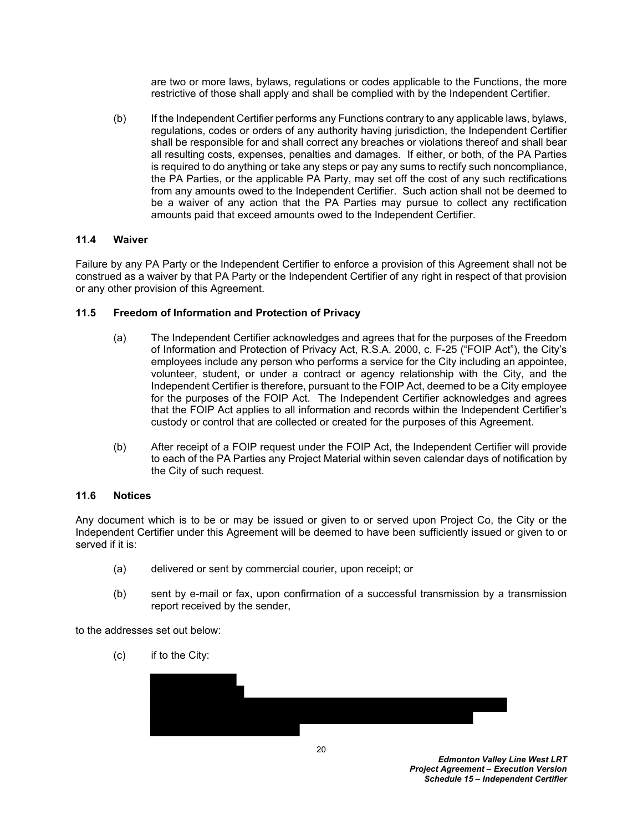are two or more laws, bylaws, regulations or codes applicable to the Functions, the more restrictive of those shall apply and shall be complied with by the Independent Certifier.

(b) If the Independent Certifier performs any Functions contrary to any applicable laws, bylaws, regulations, codes or orders of any authority having jurisdiction, the Independent Certifier shall be responsible for and shall correct any breaches or violations thereof and shall bear all resulting costs, expenses, penalties and damages. If either, or both, of the PA Parties is required to do anything or take any steps or pay any sums to rectify such noncompliance, the PA Parties, or the applicable PA Party, may set off the cost of any such rectifications from any amounts owed to the Independent Certifier. Such action shall not be deemed to be a waiver of any action that the PA Parties may pursue to collect any rectification amounts paid that exceed amounts owed to the Independent Certifier.

## <span id="page-21-0"></span>**11.4 Waiver**

Failure by any PA Party or the Independent Certifier to enforce a provision of this Agreement shall not be construed as a waiver by that PA Party or the Independent Certifier of any right in respect of that provision or any other provision of this Agreement.

## <span id="page-21-1"></span>**11.5 Freedom of Information and Protection of Privacy**

- <span id="page-21-3"></span>(a) The Independent Certifier acknowledges and agrees that for the purposes of the Freedom of Information and Protection of Privacy Act, R.S.A. 2000, c. F-25 ("FOIP Act"), the City's employees include any person who performs a service for the City including an appointee, volunteer, student, or under a contract or agency relationship with the City, and the Independent Certifier is therefore, pursuant to the FOIP Act, deemed to be a City employee for the purposes of the FOIP Act. The Independent Certifier acknowledges and agrees that the FOIP Act applies to all information and records within the Independent Certifier's custody or control that are collected or created for the purposes of this Agreement.
- (b) After receipt of a FOIP request under the FOIP Act, the Independent Certifier will provide to each of the PA Parties any Project Material within seven calendar days of notification by the City of such request.

### <span id="page-21-2"></span>**11.6 Notices**

Any document which is to be or may be issued or given to or served upon Project Co, the City or the Independent Certifier under this Agreement will be deemed to have been sufficiently issued or given to or served if it is:

- (a) delivered or sent by commercial courier, upon receipt; or
- (b) sent by e-mail or fax, upon confirmation of a successful transmission by a transmission report received by the sender,

to the addresses set out below:

(c) if to the City:

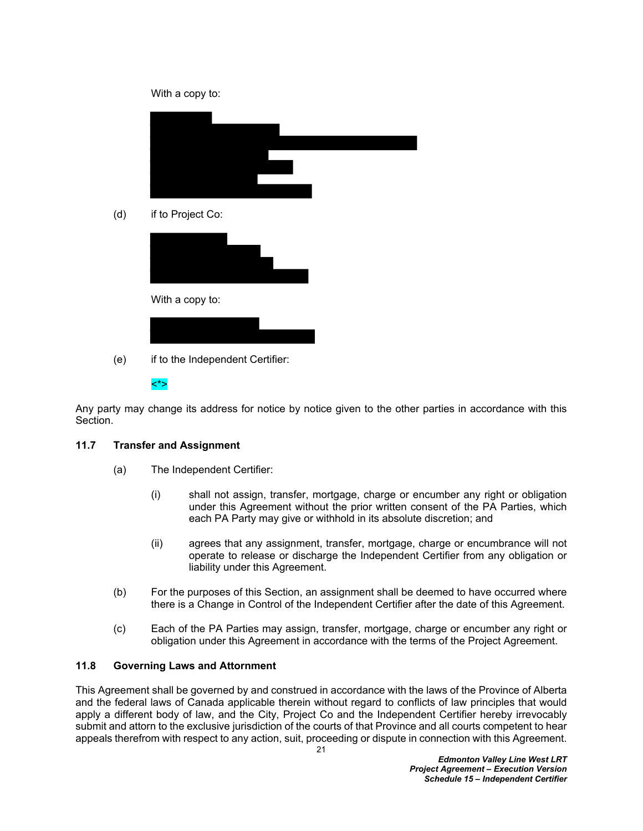

Any party may change its address for notice by notice given to the other parties in accordance with this Section.

# <span id="page-22-0"></span>**11.7 Transfer and Assignment**

- (a) The Independent Certifier:
	- (i) shall not assign, transfer, mortgage, charge or encumber any right or obligation under this Agreement without the prior written consent of the PA Parties, which each PA Party may give or withhold in its absolute discretion; and
	- (ii) agrees that any assignment, transfer, mortgage, charge or encumbrance will not operate to release or discharge the Independent Certifier from any obligation or liability under this Agreement.
- (b) For the purposes of this Section, an assignment shall be deemed to have occurred where there is a Change in Control of the Independent Certifier after the date of this Agreement.
- (c) Each of the PA Parties may assign, transfer, mortgage, charge or encumber any right or obligation under this Agreement in accordance with the terms of the Project Agreement.

### <span id="page-22-1"></span>**11.8 Governing Laws and Attornment**

This Agreement shall be governed by and construed in accordance with the laws of the Province of Alberta and the federal laws of Canada applicable therein without regard to conflicts of law principles that would apply a different body of law, and the City, Project Co and the Independent Certifier hereby irrevocably submit and attorn to the exclusive jurisdiction of the courts of that Province and all courts competent to hear appeals therefrom with respect to any action, suit, proceeding or dispute in connection with this Agreement.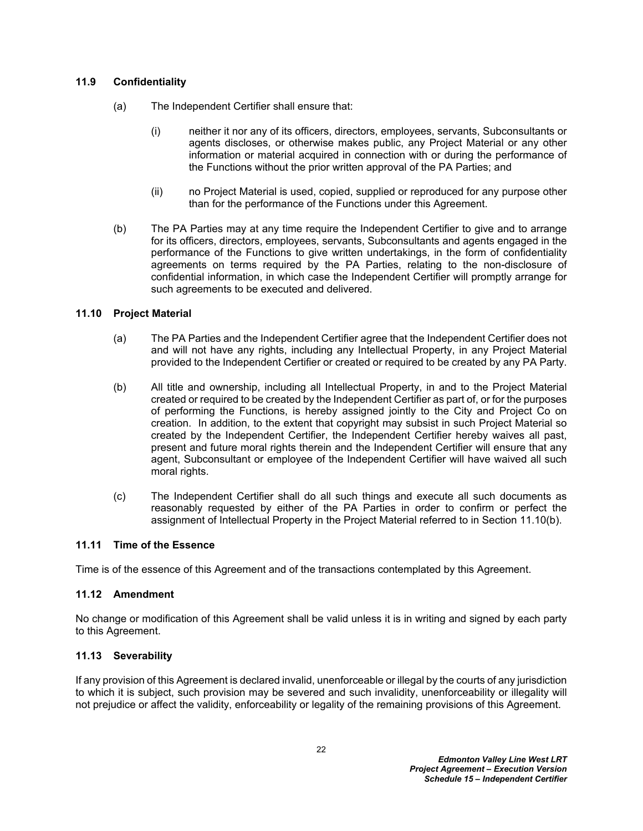# <span id="page-23-0"></span>**11.9 Confidentiality**

- (a) The Independent Certifier shall ensure that:
	- (i) neither it nor any of its officers, directors, employees, servants, Subconsultants or agents discloses, or otherwise makes public, any Project Material or any other information or material acquired in connection with or during the performance of the Functions without the prior written approval of the PA Parties; and
	- (ii) no Project Material is used, copied, supplied or reproduced for any purpose other than for the performance of the Functions under this Agreement.
- (b) The PA Parties may at any time require the Independent Certifier to give and to arrange for its officers, directors, employees, servants, Subconsultants and agents engaged in the performance of the Functions to give written undertakings, in the form of confidentiality agreements on terms required by the PA Parties, relating to the non-disclosure of confidential information, in which case the Independent Certifier will promptly arrange for such agreements to be executed and delivered.

## <span id="page-23-1"></span>**11.10 Project Material**

- (a) The PA Parties and the Independent Certifier agree that the Independent Certifier does not and will not have any rights, including any Intellectual Property, in any Project Material provided to the Independent Certifier or created or required to be created by any PA Party.
- <span id="page-23-5"></span>(b) All title and ownership, including all Intellectual Property, in and to the Project Material created or required to be created by the Independent Certifier as part of, or for the purposes of performing the Functions, is hereby assigned jointly to the City and Project Co on creation. In addition, to the extent that copyright may subsist in such Project Material so created by the Independent Certifier, the Independent Certifier hereby waives all past, present and future moral rights therein and the Independent Certifier will ensure that any agent, Subconsultant or employee of the Independent Certifier will have waived all such moral rights.
- (c) The Independent Certifier shall do all such things and execute all such documents as reasonably requested by either of the PA Parties in order to confirm or perfect the assignment of Intellectual Property in the Project Material referred to in Section [11.10\(b\).](#page-23-5)

### <span id="page-23-2"></span>**11.11 Time of the Essence**

Time is of the essence of this Agreement and of the transactions contemplated by this Agreement.

### <span id="page-23-3"></span>**11.12 Amendment**

No change or modification of this Agreement shall be valid unless it is in writing and signed by each party to this Agreement.

### <span id="page-23-4"></span>**11.13 Severability**

If any provision of this Agreement is declared invalid, unenforceable or illegal by the courts of any jurisdiction to which it is subject, such provision may be severed and such invalidity, unenforceability or illegality will not prejudice or affect the validity, enforceability or legality of the remaining provisions of this Agreement.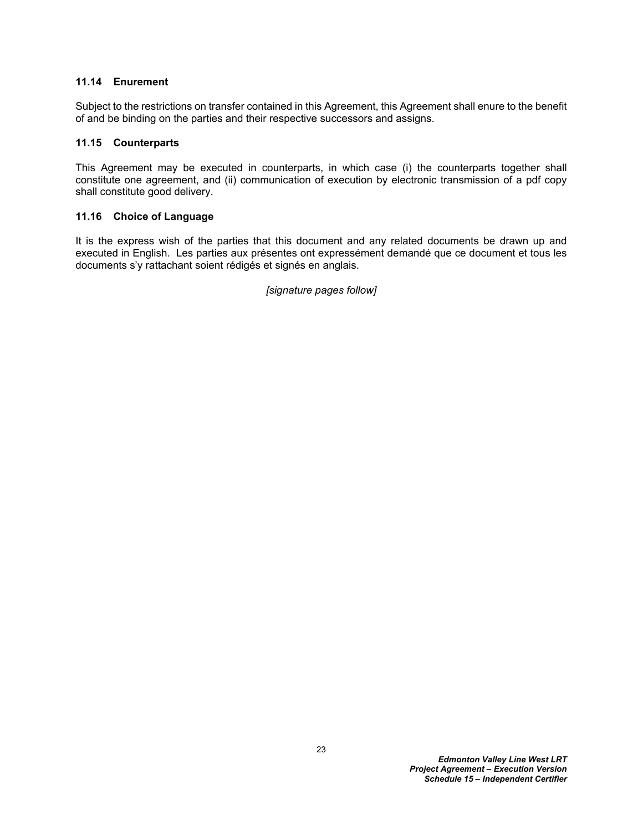### <span id="page-24-0"></span>**11.14 Enurement**

Subject to the restrictions on transfer contained in this Agreement, this Agreement shall enure to the benefit of and be binding on the parties and their respective successors and assigns.

## <span id="page-24-1"></span>**11.15 Counterparts**

This Agreement may be executed in counterparts, in which case (i) the counterparts together shall constitute one agreement, and (ii) communication of execution by electronic transmission of a pdf copy shall constitute good delivery.

## <span id="page-24-2"></span>**11.16 Choice of Language**

It is the express wish of the parties that this document and any related documents be drawn up and executed in English. Les parties aux présentes ont expressément demandé que ce document et tous les documents s'y rattachant soient rédigés et signés en anglais.

*[signature pages follow]*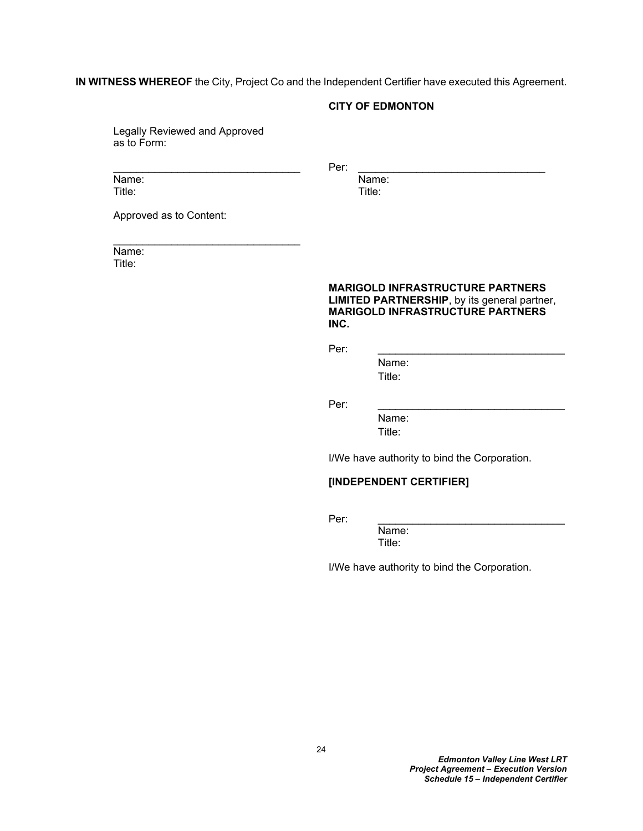**IN WITNESS WHEREOF** the City, Project Co and the Independent Certifier have executed this Agreement.

#### **CITY OF EDMONTON**

Legally Reviewed and Approved as to Form:

\_\_\_\_\_\_\_\_\_\_\_\_\_\_\_\_\_\_\_\_\_\_\_\_\_\_\_\_\_\_\_\_

Name: Name: Name: Name: Name: Name: Name: Name: Name: Name: Name: Name: Name: Name: Name: Name: Name: Name: Name: Name: Name: Name: Name: Name: Name: Name: Name: Name: Name: Name: Name: Name: Name: Name: Name: Name: Name: Title: Title:

\_\_\_\_\_\_\_\_\_\_\_\_\_\_\_\_\_\_\_\_\_\_\_\_\_\_\_\_\_\_\_\_ Per: \_\_\_\_\_\_\_\_\_\_\_\_\_\_\_\_\_\_\_\_\_\_\_\_\_\_\_\_\_\_\_\_

Approved as to Content:

Name: Title:

### **MARIGOLD INFRASTRUCTURE PARTNERS LIMITED PARTNERSHIP**, by its general partner, **MARIGOLD INFRASTRUCTURE PARTNERS INC.**

Per: \_\_\_\_\_\_\_\_\_\_\_\_\_\_\_\_\_\_\_\_\_\_\_\_\_\_\_\_\_\_\_\_

Name: Title:

Per: \_\_\_\_\_\_\_\_\_\_\_\_\_\_\_\_\_\_\_\_\_\_\_\_\_\_\_\_\_\_\_\_

Name: Title:

I/We have authority to bind the Corporation.

## **[INDEPENDENT CERTIFIER]**

Per: \_\_\_\_\_\_\_\_\_\_\_\_\_\_\_\_\_\_\_\_\_\_\_\_\_\_\_\_\_\_\_\_

Name: Title:

I/We have authority to bind the Corporation.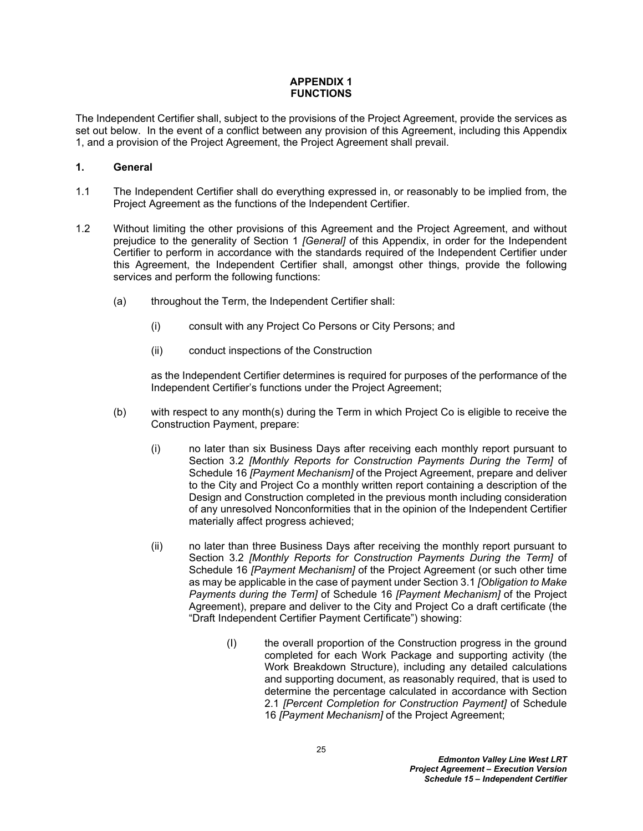# <span id="page-26-1"></span><span id="page-26-0"></span>**APPENDIX 1 FUNCTIONS**

The Independent Certifier shall, subject to the provisions of the Project Agreement, provide the services as set out below. In the event of a conflict between any provision of this Agreement, including this [Appendix](#page-26-0)  [1,](#page-26-0) and a provision of the Project Agreement, the Project Agreement shall prevail.

# <span id="page-26-2"></span>**1. General**

- 1.1 The Independent Certifier shall do everything expressed in, or reasonably to be implied from, the Project Agreement as the functions of the Independent Certifier.
- <span id="page-26-3"></span>1.2 Without limiting the other provisions of this Agreement and the Project Agreement, and without prejudice to the generality of Section [1](#page-26-2) *[General]* of this Appendix, in order for the Independent Certifier to perform in accordance with the standards required of the Independent Certifier under this Agreement, the Independent Certifier shall, amongst other things, provide the following services and perform the following functions:
	- (a) throughout the Term, the Independent Certifier shall:
		- (i) consult with any Project Co Persons or City Persons; and
		- (ii) conduct inspections of the Construction

as the Independent Certifier determines is required for purposes of the performance of the Independent Certifier's functions under the Project Agreement;

- <span id="page-26-4"></span>(b) with respect to any month(s) during the Term in which Project Co is eligible to receive the Construction Payment, prepare:
	- (i) no later than six Business Days after receiving each monthly report pursuant to Section 3.2 *[Monthly Reports for Construction Payments During the Term]* of Schedule 16 *[Payment Mechanism]* of the Project Agreement, prepare and deliver to the City and Project Co a monthly written report containing a description of the Design and Construction completed in the previous month including consideration of any unresolved Nonconformities that in the opinion of the Independent Certifier materially affect progress achieved;
	- (ii) no later than three Business Days after receiving the monthly report pursuant to Section 3.2 *[Monthly Reports for Construction Payments During the Term]* of Schedule 16 *[Payment Mechanism]* of the Project Agreement (or such other time as may be applicable in the case of payment under Section 3.1 *[Obligation to Make Payments during the Term]* of Schedule 16 *[Payment Mechanism]* of the Project Agreement), prepare and deliver to the City and Project Co a draft certificate (the "Draft Independent Certifier Payment Certificate") showing:
		- (I) the overall proportion of the Construction progress in the ground completed for each Work Package and supporting activity (the Work Breakdown Structure), including any detailed calculations and supporting document, as reasonably required, that is used to determine the percentage calculated in accordance with Section 2.1 *[Percent Completion for Construction Payment]* of Schedule 16 *[Payment Mechanism]* of the Project Agreement;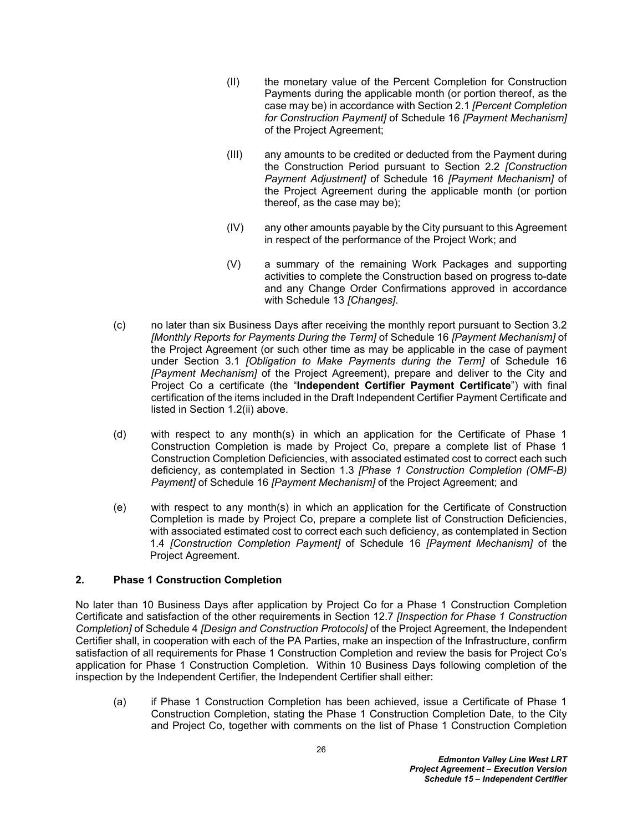- (II) the monetary value of the Percent Completion for Construction Payments during the applicable month (or portion thereof, as the case may be) in accordance with Section 2.1 *[Percent Completion for Construction Payment]* of Schedule 16 *[Payment Mechanism]* of the Project Agreement;
- (III) any amounts to be credited or deducted from the Payment during the Construction Period pursuant to Section 2.2 *[Construction Payment Adjustment]* of Schedule 16 *[Payment Mechanism]* of the Project Agreement during the applicable month (or portion thereof, as the case may be);
- (IV) any other amounts payable by the City pursuant to this Agreement in respect of the performance of the Project Work; and
- (V) a summary of the remaining Work Packages and supporting activities to complete the Construction based on progress to-date and any Change Order Confirmations approved in accordance with Schedule 13 *[Changes]*.
- (c) no later than six Business Days after receiving the monthly report pursuant to Section 3.2 *[Monthly Reports for Payments During the Term]* of Schedule 16 *[Payment Mechanism]* of the Project Agreement (or such other time as may be applicable in the case of payment under Section 3.1 *[Obligation to Make Payments during the Term]* of Schedule 16 *[Payment Mechanism]* of the Project Agreement), prepare and deliver to the City and Project Co a certificate (the "**Independent Certifier Payment Certificate**") with final certification of the items included in the Draft Independent Certifier Payment Certificate and listed in Section [1.2](#page-26-3)[\(ii\)](#page-26-4) above.
- (d) with respect to any month(s) in which an application for the Certificate of Phase 1 Construction Completion is made by Project Co, prepare a complete list of Phase 1 Construction Completion Deficiencies, with associated estimated cost to correct each such deficiency, as contemplated in Section 1.3 *[Phase 1 Construction Completion (OMF-B) Payment]* of Schedule 16 *[Payment Mechanism]* of the Project Agreement; and
- (e) with respect to any month(s) in which an application for the Certificate of Construction Completion is made by Project Co, prepare a complete list of Construction Deficiencies, with associated estimated cost to correct each such deficiency, as contemplated in Section 1.4 *[Construction Completion Payment]* of Schedule 16 *[Payment Mechanism]* of the Project Agreement.

# **2. Phase 1 Construction Completion**

No later than 10 Business Days after application by Project Co for a Phase 1 Construction Completion Certificate and satisfaction of the other requirements in Section 12.7 *[Inspection for Phase 1 Construction Completion]* of Schedule 4 *[Design and Construction Protocols]* of the Project Agreement, the Independent Certifier shall, in cooperation with each of the PA Parties, make an inspection of the Infrastructure, confirm satisfaction of all requirements for Phase 1 Construction Completion and review the basis for Project Co's application for Phase 1 Construction Completion. Within 10 Business Days following completion of the inspection by the Independent Certifier, the Independent Certifier shall either:

(a) if Phase 1 Construction Completion has been achieved, issue a Certificate of Phase 1 Construction Completion, stating the Phase 1 Construction Completion Date, to the City and Project Co, together with comments on the list of Phase 1 Construction Completion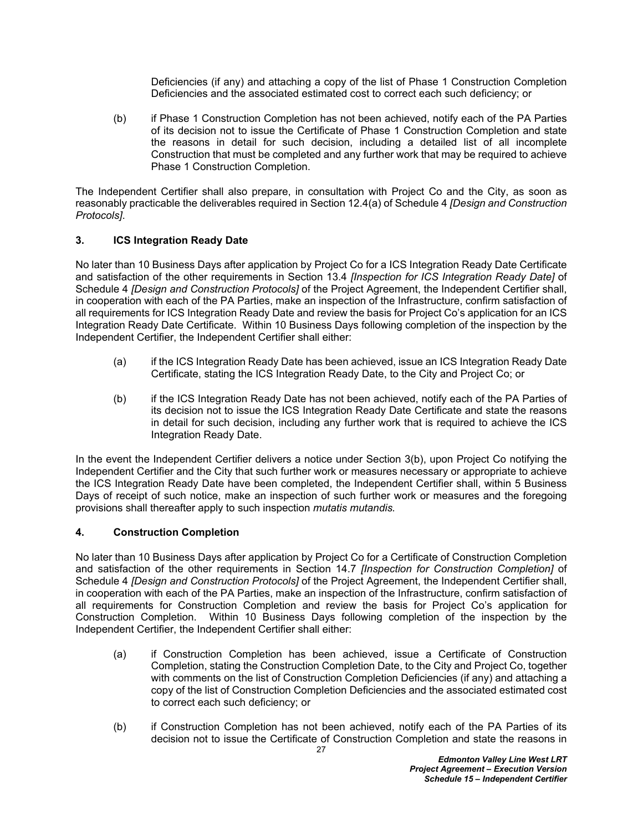Deficiencies (if any) and attaching a copy of the list of Phase 1 Construction Completion Deficiencies and the associated estimated cost to correct each such deficiency; or

(b) if Phase 1 Construction Completion has not been achieved, notify each of the PA Parties of its decision not to issue the Certificate of Phase 1 Construction Completion and state the reasons in detail for such decision, including a detailed list of all incomplete Construction that must be completed and any further work that may be required to achieve Phase 1 Construction Completion.

The Independent Certifier shall also prepare, in consultation with Project Co and the City, as soon as reasonably practicable the deliverables required in Section 12.4(a) of Schedule 4 *[Design and Construction Protocols]*.

# **3. ICS Integration Ready Date**

No later than 10 Business Days after application by Project Co for a ICS Integration Ready Date Certificate and satisfaction of the other requirements in Section 13.4 *[Inspection for ICS Integration Ready Date]* of Schedule 4 *[Design and Construction Protocols]* of the Project Agreement, the Independent Certifier shall, in cooperation with each of the PA Parties, make an inspection of the Infrastructure, confirm satisfaction of all requirements for ICS Integration Ready Date and review the basis for Project Co's application for an ICS Integration Ready Date Certificate. Within 10 Business Days following completion of the inspection by the Independent Certifier, the Independent Certifier shall either:

- (a) if the ICS Integration Ready Date has been achieved, issue an ICS Integration Ready Date Certificate, stating the ICS Integration Ready Date, to the City and Project Co; or
- (b) if the ICS Integration Ready Date has not been achieved, notify each of the PA Parties of its decision not to issue the ICS Integration Ready Date Certificate and state the reasons in detail for such decision, including any further work that is required to achieve the ICS Integration Ready Date.

In the event the Independent Certifier delivers a notice under Section 3(b), upon Project Co notifying the Independent Certifier and the City that such further work or measures necessary or appropriate to achieve the ICS Integration Ready Date have been completed, the Independent Certifier shall, within 5 Business Days of receipt of such notice, make an inspection of such further work or measures and the foregoing provisions shall thereafter apply to such inspection *mutatis mutandis.*

# **4. Construction Completion**

No later than 10 Business Days after application by Project Co for a Certificate of Construction Completion and satisfaction of the other requirements in Section 14.7 *[Inspection for Construction Completion]* of Schedule 4 *[Design and Construction Protocols]* of the Project Agreement, the Independent Certifier shall, in cooperation with each of the PA Parties, make an inspection of the Infrastructure, confirm satisfaction of all requirements for Construction Completion and review the basis for Project Co's application for Construction Completion. Within 10 Business Days following completion of the inspection by the Independent Certifier, the Independent Certifier shall either:

- (a) if Construction Completion has been achieved, issue a Certificate of Construction Completion, stating the Construction Completion Date, to the City and Project Co, together with comments on the list of Construction Completion Deficiencies (if any) and attaching a copy of the list of Construction Completion Deficiencies and the associated estimated cost to correct each such deficiency; or
- (b) if Construction Completion has not been achieved, notify each of the PA Parties of its decision not to issue the Certificate of Construction Completion and state the reasons in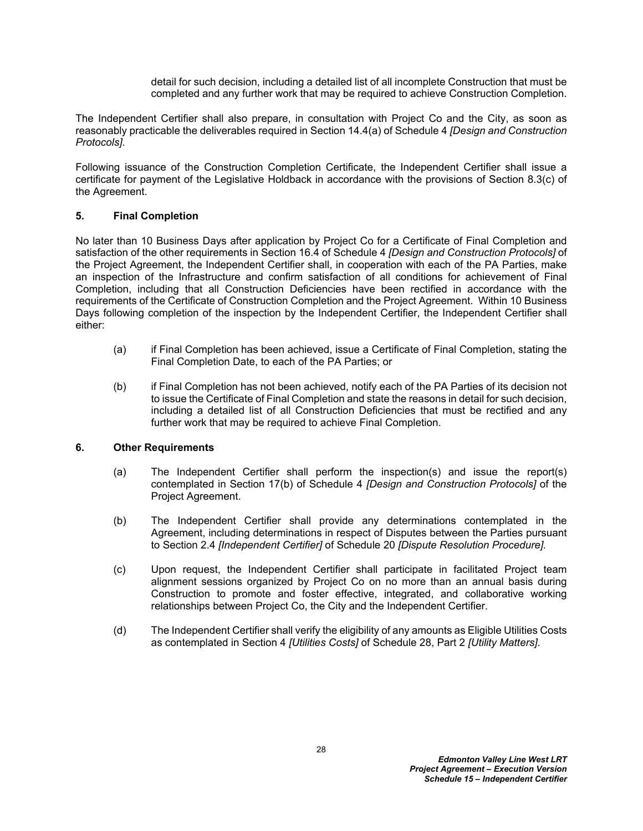detail for such decision, including a detailed list of all incomplete Construction that must be completed and any further work that may be required to achieve Construction Completion.

The Independent Certifier shall also prepare, in consultation with Project Co and the City, as soon as reasonably practicable the deliverables required in Section 14.4(a) of Schedule 4 *[Design and Construction Protocols]*.

Following issuance of the Construction Completion Certificate, the Independent Certifier shall issue a certificate for payment of the Legislative Holdback in accordance with the provisions of Section 8.3(c) of the Agreement.

# **5. Final Completion**

No later than 10 Business Days after application by Project Co for a Certificate of Final Completion and satisfaction of the other requirements in Section 16.4 of Schedule 4 *[Design and Construction Protocols]* of the Project Agreement, the Independent Certifier shall, in cooperation with each of the PA Parties, make an inspection of the Infrastructure and confirm satisfaction of all conditions for achievement of Final Completion, including that all Construction Deficiencies have been rectified in accordance with the requirements of the Certificate of Construction Completion and the Project Agreement. Within 10 Business Days following completion of the inspection by the Independent Certifier, the Independent Certifier shall either:

- (a) if Final Completion has been achieved, issue a Certificate of Final Completion, stating the Final Completion Date, to each of the PA Parties; or
- (b) if Final Completion has not been achieved, notify each of the PA Parties of its decision not to issue the Certificate of Final Completion and state the reasons in detail for such decision, including a detailed list of all Construction Deficiencies that must be rectified and any further work that may be required to achieve Final Completion.

### **6. Other Requirements**

- (a) The Independent Certifier shall perform the inspection(s) and issue the report(s) contemplated in Section 17(b) of Schedule 4 *[Design and Construction Protocols]* of the Project Agreement.
- (b) The Independent Certifier shall provide any determinations contemplated in the Agreement, including determinations in respect of Disputes between the Parties pursuant to Section 2.4 *[Independent Certifier]* of Schedule 20 *[Dispute Resolution Procedure].*
- (c) Upon request, the Independent Certifier shall participate in facilitated Project team alignment sessions organized by Project Co on no more than an annual basis during Construction to promote and foster effective, integrated, and collaborative working relationships between Project Co, the City and the Independent Certifier.
- (d) The Independent Certifier shall verify the eligibility of any amounts as Eligible Utilities Costs as contemplated in Section 4 *[Utilities Costs]* of Schedule 28, Part 2 *[Utility Matters]*.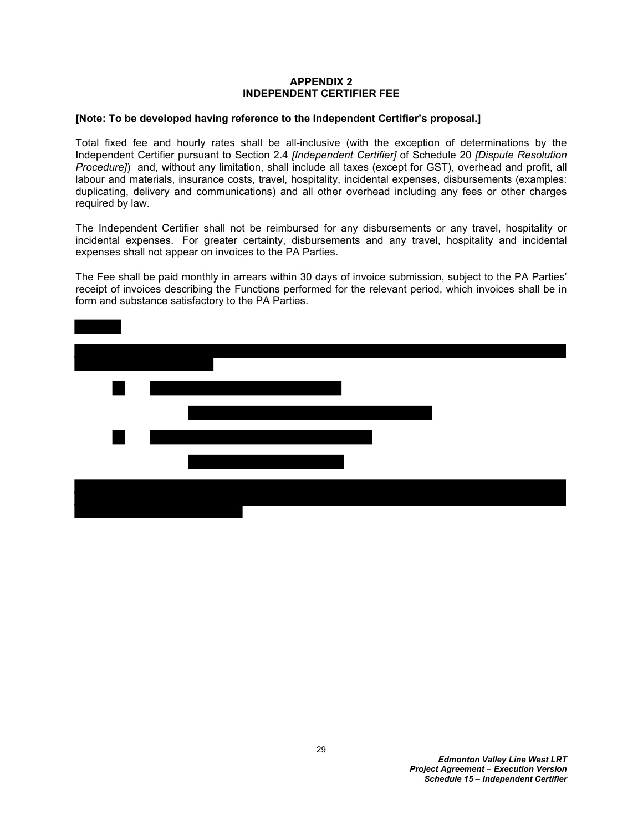## <span id="page-30-1"></span><span id="page-30-0"></span>**APPENDIX 2 INDEPENDENT CERTIFIER FEE**

### **[Note: To be developed having reference to the Independent Certifier's proposal.]**

Total fixed fee and hourly rates shall be all-inclusive (with the exception of determinations by the Independent Certifier pursuant to Section 2.4 *[Independent Certifier]* of Schedule 20 *[Dispute Resolution Procedure]*) and, without any limitation, shall include all taxes (except for GST), overhead and profit, all labour and materials, insurance costs, travel, hospitality, incidental expenses, disbursements (examples: duplicating, delivery and communications) and all other overhead including any fees or other charges required by law.

The Independent Certifier shall not be reimbursed for any disbursements or any travel, hospitality or incidental expenses. For greater certainty, disbursements and any travel, hospitality and incidental expenses shall not appear on invoices to the PA Parties.

The Fee shall be paid monthly in arrears within 30 days of invoice submission, subject to the PA Parties' receipt of invoices describing the Functions performed for the relevant period, which invoices shall be in form and substance satisfactory to the PA Parties.

| $\blacksquare$<br>$\overline{\phantom{a}}$ |  |  |  |
|--------------------------------------------|--|--|--|
|                                            |  |  |  |
| $\blacksquare$                             |  |  |  |
|                                            |  |  |  |
|                                            |  |  |  |
|                                            |  |  |  |